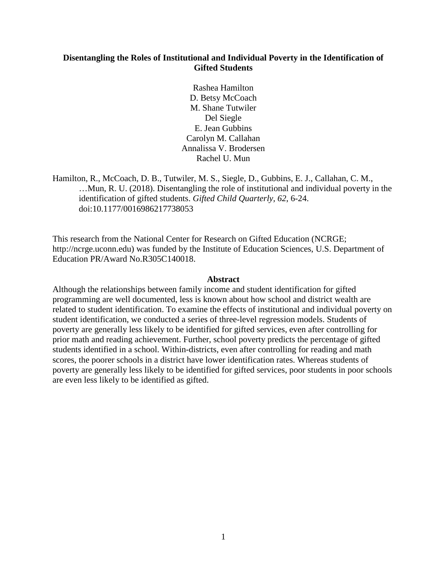# **Disentangling the Roles of Institutional and Individual Poverty in the Identification of Gifted Students**

Rashea Hamilton D. Betsy McCoach M. Shane Tutwiler Del Siegle E. Jean Gubbins Carolyn M. Callahan Annalissa V. Brodersen Rachel U. Mun

Hamilton, R., McCoach, D. B., Tutwiler, M. S., Siegle, D., Gubbins, E. J., Callahan, C. M., …Mun, R. U. (2018). Disentangling the role of institutional and individual poverty in the identification of gifted students. *Gifted Child Quarterly, 62*, 6-24. doi:10.1177/0016986217738053

This research from the National Center for Research on Gifted Education (NCRGE; http://ncrge.uconn.edu) was funded by the Institute of Education Sciences, U.S. Department of Education PR/Award No.R305C140018.

### **Abstract**

Although the relationships between family income and student identification for gifted programming are well documented, less is known about how school and district wealth are related to student identification. To examine the effects of institutional and individual poverty on student identification, we conducted a series of three-level regression models. Students of poverty are generally less likely to be identified for gifted services, even after controlling for prior math and reading achievement. Further, school poverty predicts the percentage of gifted students identified in a school. Within-districts, even after controlling for reading and math scores, the poorer schools in a district have lower identification rates. Whereas students of poverty are generally less likely to be identified for gifted services, poor students in poor schools are even less likely to be identified as gifted.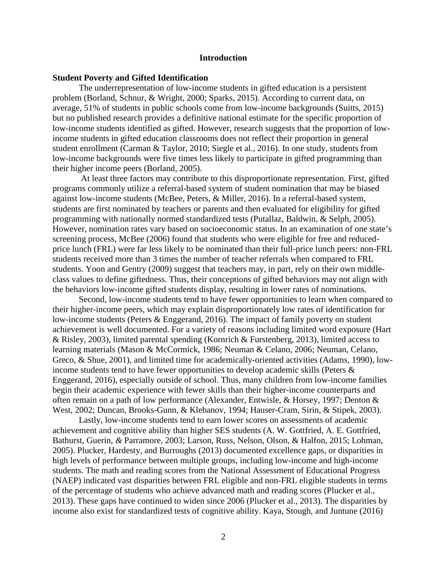## **Introduction**

## **Student Poverty and Gifted Identification**

The underrepresentation of low-income students in gifted education is a persistent problem (Borland, Schnur, & Wright, 2000; Sparks, 2015). According to current data, on average, 51% of students in public schools come from low-income backgrounds (Suitts, 2015) but no published research provides a definitive national estimate for the specific proportion of low-income students identified as gifted. However, research suggests that the proportion of lowincome students in gifted education classrooms does not reflect their proportion in general student enrollment (Carman & Taylor, 2010; Siegle et al., 2016). In one study, students from low-income backgrounds were five times less likely to participate in gifted programming than their higher income peers (Borland, 2005).

At least three factors may contribute to this disproportionate representation. First, gifted programs commonly utilize a referral-based system of student nomination that may be biased against low-income students (McBee, Peters, & Miller, 2016). In a referral-based system, students are first nominated by teachers or parents and then evaluated for eligibility for gifted programming with nationally normed standardized tests (Putallaz, Baldwin, & Selph, 2005). However, nomination rates vary based on socioeconomic status. In an examination of one state's screening process, McBee (2006) found that students who were eligible for free and reducedprice lunch (FRL) were far less likely to be nominated than their full-price lunch peers: non-FRL students received more than 3 times the number of teacher referrals when compared to FRL students. Yoon and Gentry (2009) suggest that teachers may, in part, rely on their own middleclass values to define giftedness. Thus, their conceptions of gifted behaviors may not align with the behaviors low-income gifted students display, resulting in lower rates of nominations.

Second, low-income students tend to have fewer opportunities to learn when compared to their higher-income peers, which may explain disproportionately low rates of identification for low-income students (Peters & Enggerand, 2016). The impact of family poverty on student achievement is well documented. For a variety of reasons including limited word exposure (Hart & Risley, 2003), limited parental spending (Kornrich & Furstenberg, 2013), limited access to learning materials (Mason & McCormick, 1986; Neuman & Celano, 2006; Neuman, Celano, Greco, & Shue, 2001), and limited time for academically-oriented activities (Adams, 1990), lowincome students tend to have fewer opportunities to develop academic skills (Peters & Enggerand, 2016), especially outside of school. Thus, many children from low-income families begin their academic experience with fewer skills than their higher-income counterparts and often remain on a path of low performance (Alexander, Entwisle, & Horsey, 1997; Denton & West, 2002; Duncan, Brooks-Gunn, & Klebanov, 1994; Hauser-Cram, Sirin, & Stipek, 2003).

Lastly, low-income students tend to earn lower scores on assessments of academic achievement and cognitive ability than higher SES students (A. W. Gottfried, A. E. Gottfried, Bathurst, Guerin, *&* Parramore, 2003; Larson, Russ, Nelson, Olson, & Halfon, 2015; Lohman, 2005). Plucker, Hardesty, and Burroughs (2013) documented excellence gaps, or disparities in high levels of performance between multiple groups, including low-income and high-income students. The math and reading scores from the National Assessment of Educational Progress (NAEP) indicated vast disparities between FRL eligible and non-FRL eligible students in terms of the percentage of students who achieve advanced math and reading scores (Plucker et al., 2013). These gaps have continued to widen since 2006 (Plucker et al., 2013). The disparities by income also exist for standardized tests of cognitive ability. Kaya, Stough, and Juntune (2016)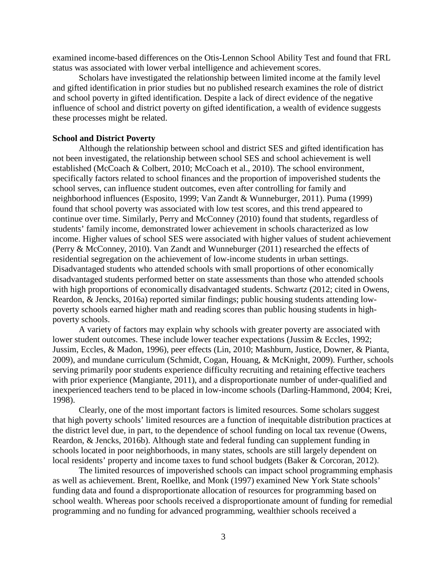examined income-based differences on the Otis-Lennon School Ability Test and found that FRL status was associated with lower verbal intelligence and achievement scores.

Scholars have investigated the relationship between limited income at the family level and gifted identification in prior studies but no published research examines the role of district and school poverty in gifted identification. Despite a lack of direct evidence of the negative influence of school and district poverty on gifted identification, a wealth of evidence suggests these processes might be related.

## **School and District Poverty**

Although the relationship between school and district SES and gifted identification has not been investigated, the relationship between school SES and school achievement is well established (McCoach & Colbert, 2010; McCoach et al., 2010). The school environment, specifically factors related to school finances and the proportion of impoverished students the school serves, can influence student outcomes, even after controlling for family and neighborhood influences (Esposito, 1999; Van Zandt & Wunneburger, 2011). Puma (1999) found that school poverty was associated with low test scores, and this trend appeared to continue over time. Similarly, Perry and McConney (2010) found that students, regardless of students' family income, demonstrated lower achievement in schools characterized as low income. Higher values of school SES were associated with higher values of student achievement (Perry & McConney, 2010). Van Zandt and Wunneburger (2011) researched the effects of residential segregation on the achievement of low-income students in urban settings. Disadvantaged students who attended schools with small proportions of other economically disadvantaged students performed better on state assessments than those who attended schools with high proportions of economically disadvantaged students. Schwartz (2012; cited in Owens, Reardon, & Jencks, 2016a) reported similar findings; public housing students attending lowpoverty schools earned higher math and reading scores than public housing students in highpoverty schools.

A variety of factors may explain why schools with greater poverty are associated with lower student outcomes. These include lower teacher expectations (Jussim & Eccles, 1992; Jussim, Eccles, & Madon, 1996), peer effects (Lin, 2010; Mashburn, Justice, Downer, & Pianta, 2009), and mundane curriculum (Schmidt, Cogan, Houang, & McKnight, 2009). Further, schools serving primarily poor students experience difficulty recruiting and retaining effective teachers with prior experience (Mangiante, 2011), and a disproportionate number of under-qualified and inexperienced teachers tend to be placed in low-income schools (Darling-Hammond, 2004; Krei, 1998).

Clearly, one of the most important factors is limited resources. Some scholars suggest that high poverty schools' limited resources are a function of inequitable distribution practices at the district level due, in part, to the dependence of school funding on local tax revenue (Owens, Reardon, & Jencks, 2016b). Although state and federal funding can supplement funding in schools located in poor neighborhoods, in many states, schools are still largely dependent on local residents' property and income taxes to fund school budgets (Baker & Corcoran, 2012).

The limited resources of impoverished schools can impact school programming emphasis as well as achievement. Brent, Roellke, and Monk (1997) examined New York State schools' funding data and found a disproportionate allocation of resources for programming based on school wealth. Whereas poor schools received a disproportionate amount of funding for remedial programming and no funding for advanced programming, wealthier schools received a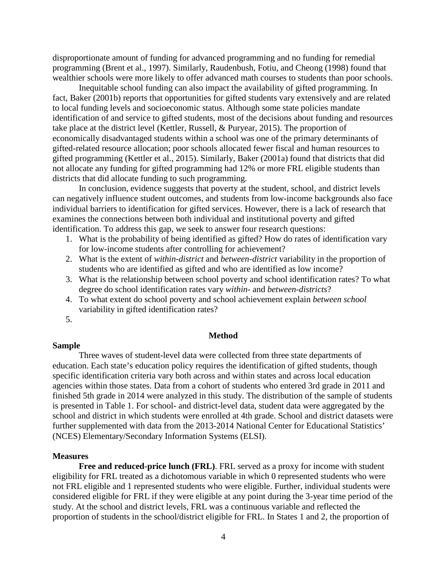disproportionate amount of funding for advanced programming and no funding for remedial programming (Brent et al., 1997). Similarly, Raudenbush, Fotiu, and Cheong (1998) found that wealthier schools were more likely to offer advanced math courses to students than poor schools.

Inequitable school funding can also impact the availability of gifted programming. In fact, Baker (2001b) reports that opportunities for gifted students vary extensively and are related to local funding levels and socioeconomic status. Although some state policies mandate identification of and service to gifted students, most of the decisions about funding and resources take place at the district level (Kettler, Russell, & Puryear, 2015). The proportion of economically disadvantaged students within a school was one of the primary determinants of gifted-related resource allocation; poor schools allocated fewer fiscal and human resources to gifted programming (Kettler et al., 2015). Similarly, Baker (2001a) found that districts that did not allocate any funding for gifted programming had 12% or more FRL eligible students than districts that did allocate funding to such programming.

In conclusion, evidence suggests that poverty at the student, school, and district levels can negatively influence student outcomes, and students from low-income backgrounds also face individual barriers to identification for gifted services. However, there is a lack of research that examines the connections between both individual and institutional poverty and gifted identification. To address this gap, we seek to answer four research questions:

- 1. What is the probability of being identified as gifted? How do rates of identification vary for low-income students after controlling for achievement?
- 2. What is the extent of *within-district* and *between-district* variability in the proportion of students who are identified as gifted and who are identified as low income?
- 3. What is the relationship between school poverty and school identification rates? To what degree do school identification rates vary *within*- and *between-districts*?
- 4. To what extent do school poverty and school achievement explain *between school* variability in gifted identification rates?
- 5.

### **Method**

## **Sample**

Three waves of student-level data were collected from three state departments of education. Each state's education policy requires the identification of gifted students, though specific identification criteria vary both across and within states and across local education agencies within those states. Data from a cohort of students who entered 3rd grade in 2011 and finished 5th grade in 2014 were analyzed in this study. The distribution of the sample of students is presented in Table 1. For school- and district-level data, student data were aggregated by the school and district in which students were enrolled at 4th grade. School and district datasets were further supplemented with data from the 2013-2014 National Center for Educational Statistics' (NCES) Elementary/Secondary Information Systems (ELSI).

#### **Measures**

**Free and reduced-price lunch (FRL)**. FRL served as a proxy for income with student eligibility for FRL treated as a dichotomous variable in which 0 represented students who were not FRL eligible and 1 represented students who were eligible. Further, individual students were considered eligible for FRL if they were eligible at any point during the 3-year time period of the study. At the school and district levels, FRL was a continuous variable and reflected the proportion of students in the school/district eligible for FRL. In States 1 and 2, the proportion of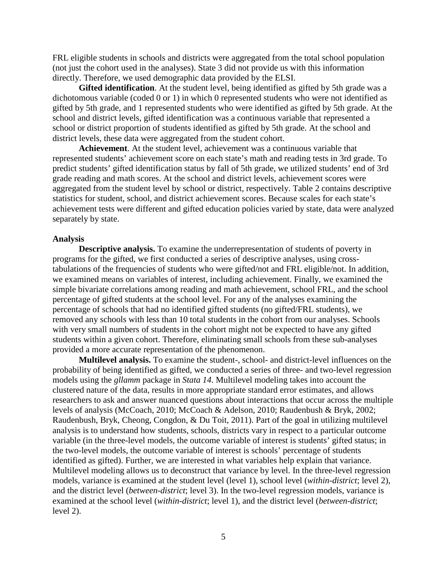FRL eligible students in schools and districts were aggregated from the total school population (not just the cohort used in the analyses). State 3 did not provide us with this information directly. Therefore, we used demographic data provided by the ELSI.

**Gifted identification**. At the student level, being identified as gifted by 5th grade was a dichotomous variable (coded 0 or 1) in which 0 represented students who were not identified as gifted by 5th grade, and 1 represented students who were identified as gifted by 5th grade. At the school and district levels, gifted identification was a continuous variable that represented a school or district proportion of students identified as gifted by 5th grade. At the school and district levels, these data were aggregated from the student cohort.

**Achievement**. At the student level, achievement was a continuous variable that represented students' achievement score on each state's math and reading tests in 3rd grade. To predict students' gifted identification status by fall of 5th grade, we utilized students' end of 3rd grade reading and math scores. At the school and district levels, achievement scores were aggregated from the student level by school or district, respectively. Table 2 contains descriptive statistics for student, school, and district achievement scores. Because scales for each state's achievement tests were different and gifted education policies varied by state, data were analyzed separately by state.

## **Analysis**

**Descriptive analysis.** To examine the underrepresentation of students of poverty in programs for the gifted, we first conducted a series of descriptive analyses, using crosstabulations of the frequencies of students who were gifted/not and FRL eligible/not. In addition, we examined means on variables of interest, including achievement. Finally, we examined the simple bivariate correlations among reading and math achievement, school FRL, and the school percentage of gifted students at the school level. For any of the analyses examining the percentage of schools that had no identified gifted students (no gifted/FRL students), we removed any schools with less than 10 total students in the cohort from our analyses. Schools with very small numbers of students in the cohort might not be expected to have any gifted students within a given cohort. Therefore, eliminating small schools from these sub-analyses provided a more accurate representation of the phenomenon.

**Multilevel analysis.** To examine the student-, school- and district-level influences on the probability of being identified as gifted, we conducted a series of three- and two-level regression models using the *gllamm* package in *Stata 14*. Multilevel modeling takes into account the clustered nature of the data, results in more appropriate standard error estimates, and allows researchers to ask and answer nuanced questions about interactions that occur across the multiple levels of analysis (McCoach, 2010; McCoach & Adelson, 2010; Raudenbush & Bryk, 2002; Raudenbush, Bryk, Cheong, Congdon, & Du Toit, 2011). Part of the goal in utilizing multilevel analysis is to understand how students, schools, districts vary in respect to a particular outcome variable (in the three-level models, the outcome variable of interest is students' gifted status; in the two-level models, the outcome variable of interest is schools' percentage of students identified as gifted). Further, we are interested in what variables help explain that variance. Multilevel modeling allows us to deconstruct that variance by level. In the three-level regression models, variance is examined at the student level (level 1), school level (*within-district*; level 2), and the district level (*between-district*; level 3). In the two-level regression models, variance is examined at the school level (*within-district*; level 1), and the district level (*between-district*; level 2).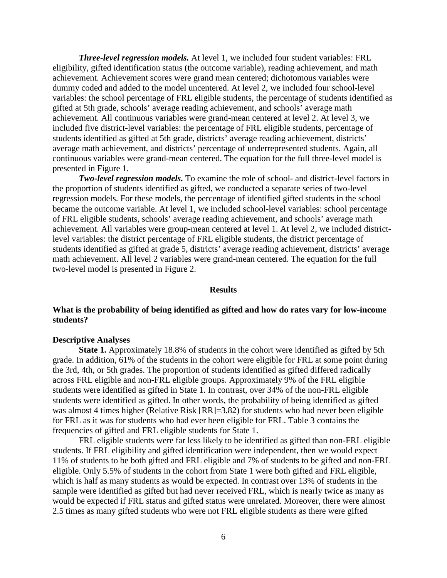*Three-level regression models.* At level 1, we included four student variables: FRL eligibility, gifted identification status (the outcome variable), reading achievement, and math achievement. Achievement scores were grand mean centered; dichotomous variables were dummy coded and added to the model uncentered. At level 2, we included four school-level variables: the school percentage of FRL eligible students, the percentage of students identified as gifted at 5th grade, schools' average reading achievement, and schools' average math achievement. All continuous variables were grand-mean centered at level 2. At level 3, we included five district-level variables: the percentage of FRL eligible students, percentage of students identified as gifted at 5th grade, districts' average reading achievement, districts' average math achievement, and districts' percentage of underrepresented students. Again, all continuous variables were grand-mean centered. The equation for the full three-level model is presented in Figure 1.

*Two-level regression models.* To examine the role of school- and district-level factors in the proportion of students identified as gifted, we conducted a separate series of two-level regression models. For these models, the percentage of identified gifted students in the school became the outcome variable. At level 1, we included school-level variables: school percentage of FRL eligible students, schools' average reading achievement, and schools' average math achievement. All variables were group-mean centered at level 1. At level 2, we included districtlevel variables: the district percentage of FRL eligible students, the district percentage of students identified as gifted at grade 5, districts' average reading achievement, districts' average math achievement. All level 2 variables were grand-mean centered. The equation for the full two-level model is presented in Figure 2.

## **Results**

# **What is the probability of being identified as gifted and how do rates vary for low-income students?**

## **Descriptive Analyses**

**State 1.** Approximately 18.8% of students in the cohort were identified as gifted by 5th grade. In addition, 61% of the students in the cohort were eligible for FRL at some point during the 3rd, 4th, or 5th grades. The proportion of students identified as gifted differed radically across FRL eligible and non-FRL eligible groups. Approximately 9% of the FRL eligible students were identified as gifted in State 1. In contrast, over 34% of the non-FRL eligible students were identified as gifted. In other words, the probability of being identified as gifted was almost 4 times higher (Relative Risk [RR]=3.82) for students who had never been eligible for FRL as it was for students who had ever been eligible for FRL. Table 3 contains the frequencies of gifted and FRL eligible students for State 1.

FRL eligible students were far less likely to be identified as gifted than non-FRL eligible students. If FRL eligibility and gifted identification were independent, then we would expect 11% of students to be both gifted and FRL eligible and 7% of students to be gifted and non-FRL eligible. Only 5.5% of students in the cohort from State 1 were both gifted and FRL eligible, which is half as many students as would be expected. In contrast over 13% of students in the sample were identified as gifted but had never received FRL, which is nearly twice as many as would be expected if FRL status and gifted status were unrelated. Moreover, there were almost 2.5 times as many gifted students who were not FRL eligible students as there were gifted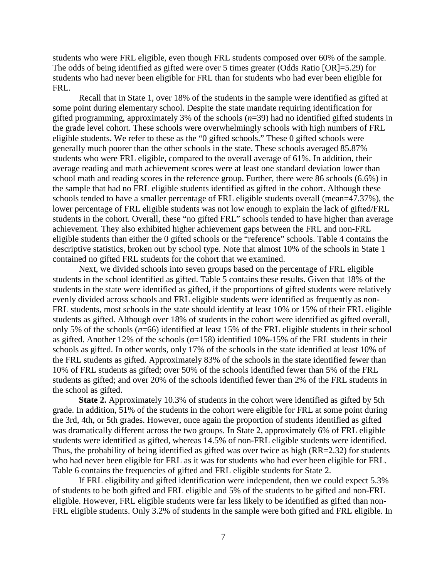students who were FRL eligible, even though FRL students composed over 60% of the sample. The odds of being identified as gifted were over 5 times greater (Odds Ratio [OR]=5.29) for students who had never been eligible for FRL than for students who had ever been eligible for FRL.

Recall that in State 1, over 18% of the students in the sample were identified as gifted at some point during elementary school. Despite the state mandate requiring identification for gifted programming, approximately 3% of the schools (*n*=39) had no identified gifted students in the grade level cohort. These schools were overwhelmingly schools with high numbers of FRL eligible students. We refer to these as the "0 gifted schools." These 0 gifted schools were generally much poorer than the other schools in the state. These schools averaged 85.87% students who were FRL eligible, compared to the overall average of 61%. In addition, their average reading and math achievement scores were at least one standard deviation lower than school math and reading scores in the reference group. Further, there were 86 schools (6.6%) in the sample that had no FRL eligible students identified as gifted in the cohort. Although these schools tended to have a smaller percentage of FRL eligible students overall (mean=47.37%), the lower percentage of FRL eligible students was not low enough to explain the lack of gifted/FRL students in the cohort. Overall, these "no gifted FRL" schools tended to have higher than average achievement. They also exhibited higher achievement gaps between the FRL and non-FRL eligible students than either the 0 gifted schools or the "reference" schools. Table 4 contains the descriptive statistics, broken out by school type. Note that almost 10% of the schools in State 1 contained no gifted FRL students for the cohort that we examined.

Next, we divided schools into seven groups based on the percentage of FRL eligible students in the school identified as gifted. Table 5 contains these results. Given that 18% of the students in the state were identified as gifted, if the proportions of gifted students were relatively evenly divided across schools and FRL eligible students were identified as frequently as non-FRL students, most schools in the state should identify at least 10% or 15% of their FRL eligible students as gifted. Although over 18% of students in the cohort were identified as gifted overall, only 5% of the schools (*n*=66) identified at least 15% of the FRL eligible students in their school as gifted. Another 12% of the schools (*n*=158) identified 10%-15% of the FRL students in their schools as gifted. In other words, only 17% of the schools in the state identified at least 10% of the FRL students as gifted. Approximately 83% of the schools in the state identified fewer than 10% of FRL students as gifted; over 50% of the schools identified fewer than 5% of the FRL students as gifted; and over 20% of the schools identified fewer than 2% of the FRL students in the school as gifted.

**State 2.** Approximately 10.3% of students in the cohort were identified as gifted by 5th grade. In addition, 51% of the students in the cohort were eligible for FRL at some point during the 3rd, 4th, or 5th grades. However, once again the proportion of students identified as gifted was dramatically different across the two groups. In State 2, approximately 6% of FRL eligible students were identified as gifted, whereas 14.5% of non-FRL eligible students were identified. Thus, the probability of being identified as gifted was over twice as high (RR=2.32) for students who had never been eligible for FRL as it was for students who had ever been eligible for FRL. Table 6 contains the frequencies of gifted and FRL eligible students for State 2.

If FRL eligibility and gifted identification were independent, then we could expect 5.3% of students to be both gifted and FRL eligible and 5% of the students to be gifted and non-FRL eligible. However, FRL eligible students were far less likely to be identified as gifted than non-FRL eligible students. Only 3.2% of students in the sample were both gifted and FRL eligible. In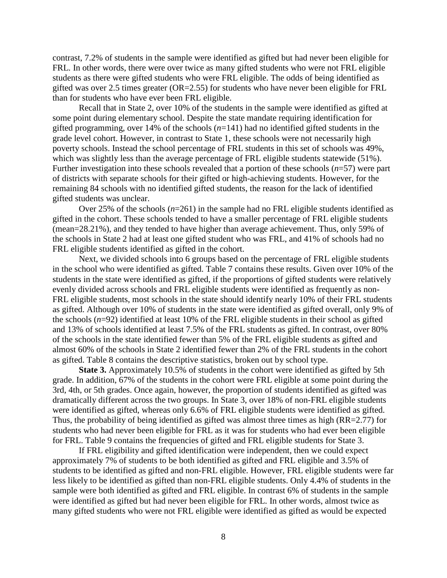contrast, 7.2% of students in the sample were identified as gifted but had never been eligible for FRL. In other words, there were over twice as many gifted students who were not FRL eligible students as there were gifted students who were FRL eligible. The odds of being identified as gifted was over 2.5 times greater (OR=2.55) for students who have never been eligible for FRL than for students who have ever been FRL eligible.

Recall that in State 2, over 10% of the students in the sample were identified as gifted at some point during elementary school. Despite the state mandate requiring identification for gifted programming, over 14% of the schools (*n*=141) had no identified gifted students in the grade level cohort. However, in contrast to State 1, these schools were not necessarily high poverty schools. Instead the school percentage of FRL students in this set of schools was 49%, which was slightly less than the average percentage of FRL eligible students statewide (51%). Further investigation into these schools revealed that a portion of these schools (*n*=57) were part of districts with separate schools for their gifted or high-achieving students. However, for the remaining 84 schools with no identified gifted students, the reason for the lack of identified gifted students was unclear.

Over 25% of the schools (*n*=261) in the sample had no FRL eligible students identified as gifted in the cohort. These schools tended to have a smaller percentage of FRL eligible students (mean=28.21%), and they tended to have higher than average achievement. Thus, only 59% of the schools in State 2 had at least one gifted student who was FRL, and 41% of schools had no FRL eligible students identified as gifted in the cohort.

Next, we divided schools into 6 groups based on the percentage of FRL eligible students in the school who were identified as gifted. Table 7 contains these results. Given over 10% of the students in the state were identified as gifted, if the proportions of gifted students were relatively evenly divided across schools and FRL eligible students were identified as frequently as non-FRL eligible students, most schools in the state should identify nearly 10% of their FRL students as gifted. Although over 10% of students in the state were identified as gifted overall, only 9% of the schools (*n*=92) identified at least 10% of the FRL eligible students in their school as gifted and 13% of schools identified at least 7.5% of the FRL students as gifted. In contrast, over 80% of the schools in the state identified fewer than 5% of the FRL eligible students as gifted and almost 60% of the schools in State 2 identified fewer than 2% of the FRL students in the cohort as gifted. Table 8 contains the descriptive statistics, broken out by school type.

**State 3.** Approximately 10.5% of students in the cohort were identified as gifted by 5th grade. In addition, 67% of the students in the cohort were FRL eligible at some point during the 3rd, 4th, or 5th grades. Once again, however, the proportion of students identified as gifted was dramatically different across the two groups. In State 3, over 18% of non-FRL eligible students were identified as gifted, whereas only 6.6% of FRL eligible students were identified as gifted. Thus, the probability of being identified as gifted was almost three times as high (RR=2.77) for students who had never been eligible for FRL as it was for students who had ever been eligible for FRL. Table 9 contains the frequencies of gifted and FRL eligible students for State 3.

If FRL eligibility and gifted identification were independent, then we could expect approximately 7% of students to be both identified as gifted and FRL eligible and 3.5% of students to be identified as gifted and non-FRL eligible. However, FRL eligible students were far less likely to be identified as gifted than non-FRL eligible students. Only 4.4% of students in the sample were both identified as gifted and FRL eligible. In contrast 6% of students in the sample were identified as gifted but had never been eligible for FRL. In other words, almost twice as many gifted students who were not FRL eligible were identified as gifted as would be expected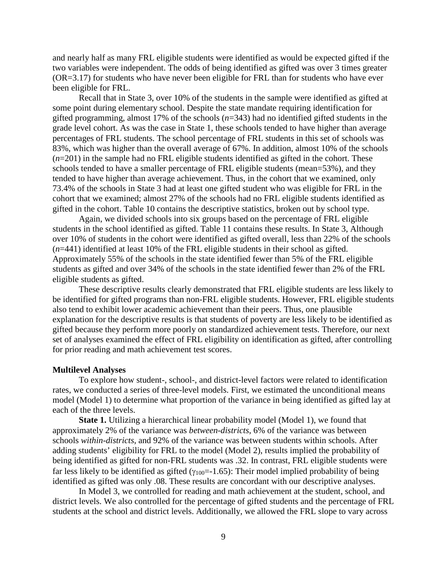and nearly half as many FRL eligible students were identified as would be expected gifted if the two variables were independent. The odds of being identified as gifted was over 3 times greater (OR=3.17) for students who have never been eligible for FRL than for students who have ever been eligible for FRL.

Recall that in State 3, over 10% of the students in the sample were identified as gifted at some point during elementary school. Despite the state mandate requiring identification for gifted programming, almost 17% of the schools (*n*=343) had no identified gifted students in the grade level cohort. As was the case in State 1, these schools tended to have higher than average percentages of FRL students. The school percentage of FRL students in this set of schools was 83%, which was higher than the overall average of 67%. In addition, almost 10% of the schools  $(n=201)$  in the sample had no FRL eligible students identified as gifted in the cohort. These schools tended to have a smaller percentage of FRL eligible students (mean=53%), and they tended to have higher than average achievement. Thus, in the cohort that we examined, only 73.4% of the schools in State 3 had at least one gifted student who was eligible for FRL in the cohort that we examined; almost 27% of the schools had no FRL eligible students identified as gifted in the cohort. Table 10 contains the descriptive statistics, broken out by school type.

Again, we divided schools into six groups based on the percentage of FRL eligible students in the school identified as gifted. Table 11 contains these results. In State 3, Although over 10% of students in the cohort were identified as gifted overall, less than 22% of the schools (*n*=441) identified at least 10% of the FRL eligible students in their school as gifted. Approximately 55% of the schools in the state identified fewer than 5% of the FRL eligible students as gifted and over 34% of the schools in the state identified fewer than 2% of the FRL eligible students as gifted.

These descriptive results clearly demonstrated that FRL eligible students are less likely to be identified for gifted programs than non-FRL eligible students. However, FRL eligible students also tend to exhibit lower academic achievement than their peers. Thus, one plausible explanation for the descriptive results is that students of poverty are less likely to be identified as gifted because they perform more poorly on standardized achievement tests. Therefore, our next set of analyses examined the effect of FRL eligibility on identification as gifted, after controlling for prior reading and math achievement test scores.

#### **Multilevel Analyses**

To explore how student-, school-, and district-level factors were related to identification rates, we conducted a series of three-level models. First, we estimated the unconditional means model (Model 1) to determine what proportion of the variance in being identified as gifted lay at each of the three levels.

**State 1.** Utilizing a hierarchical linear probability model (Model 1), we found that approximately 2% of the variance was *between-districts*, 6% of the variance was between schools *within-districts*, and 92% of the variance was between students within schools. After adding students' eligibility for FRL to the model (Model 2), results implied the probability of being identified as gifted for non-FRL students was .32. In contrast, FRL eligible students were far less likely to be identified as gifted ( $\gamma_{100}$ =-1.65): Their model implied probability of being identified as gifted was only .08. These results are concordant with our descriptive analyses.

In Model 3, we controlled for reading and math achievement at the student, school, and district levels. We also controlled for the percentage of gifted students and the percentage of FRL students at the school and district levels. Additionally, we allowed the FRL slope to vary across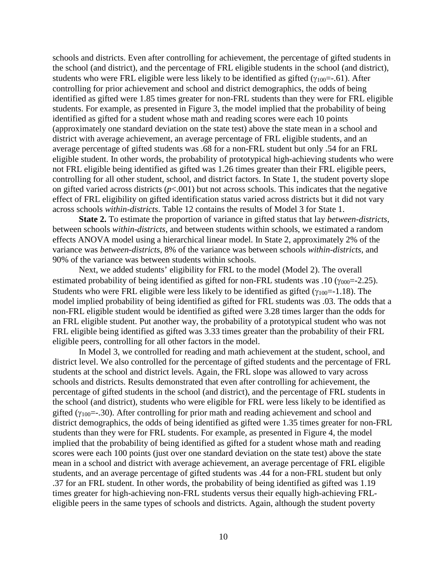schools and districts. Even after controlling for achievement, the percentage of gifted students in the school (and district), and the percentage of FRL eligible students in the school (and district), students who were FRL eligible were less likely to be identified as gifted ( $\gamma_{100}$ =-.61). After controlling for prior achievement and school and district demographics, the odds of being identified as gifted were 1.85 times greater for non-FRL students than they were for FRL eligible students. For example, as presented in Figure 3, the model implied that the probability of being identified as gifted for a student whose math and reading scores were each 10 points (approximately one standard deviation on the state test) above the state mean in a school and district with average achievement, an average percentage of FRL eligible students, and an average percentage of gifted students was .68 for a non-FRL student but only .54 for an FRL eligible student. In other words, the probability of prototypical high-achieving students who were not FRL eligible being identified as gifted was 1.26 times greater than their FRL eligible peers, controlling for all other student, school, and district factors. In State 1, the student poverty slope on gifted varied across districts  $(p<0.01)$  but not across schools. This indicates that the negative effect of FRL eligibility on gifted identification status varied across districts but it did not vary across schools *within-districts*. Table 12 contains the results of Model 3 for State 1.

**State 2.** To estimate the proportion of variance in gifted status that lay *between-districts*, between schools *within-districts*, and between students within schools, we estimated a random effects ANOVA model using a hierarchical linear model. In State 2, approximately 2% of the variance was *between-districts*, 8% of the variance was between schools *within-districts*, and 90% of the variance was between students within schools.

Next, we added students' eligibility for FRL to the model (Model 2). The overall estimated probability of being identified as gifted for non-FRL students was .10 (γ<sub>000</sub>=-2.25). Students who were FRL eligible were less likely to be identified as gifted ( $\gamma_{100}$ =-1.18). The model implied probability of being identified as gifted for FRL students was .03. The odds that a non-FRL eligible student would be identified as gifted were 3.28 times larger than the odds for an FRL eligible student. Put another way, the probability of a prototypical student who was not FRL eligible being identified as gifted was 3.33 times greater than the probability of their FRL eligible peers, controlling for all other factors in the model.

In Model 3, we controlled for reading and math achievement at the student, school, and district level. We also controlled for the percentage of gifted students and the percentage of FRL students at the school and district levels. Again, the FRL slope was allowed to vary across schools and districts. Results demonstrated that even after controlling for achievement, the percentage of gifted students in the school (and district), and the percentage of FRL students in the school (and district), students who were eligible for FRL were less likely to be identified as gifted ( $\gamma_{100}$ =-.30). After controlling for prior math and reading achievement and school and district demographics, the odds of being identified as gifted were 1.35 times greater for non-FRL students than they were for FRL students. For example, as presented in Figure 4, the model implied that the probability of being identified as gifted for a student whose math and reading scores were each 100 points (just over one standard deviation on the state test) above the state mean in a school and district with average achievement, an average percentage of FRL eligible students, and an average percentage of gifted students was .44 for a non-FRL student but only .37 for an FRL student. In other words, the probability of being identified as gifted was 1.19 times greater for high-achieving non-FRL students versus their equally high-achieving FRLeligible peers in the same types of schools and districts. Again, although the student poverty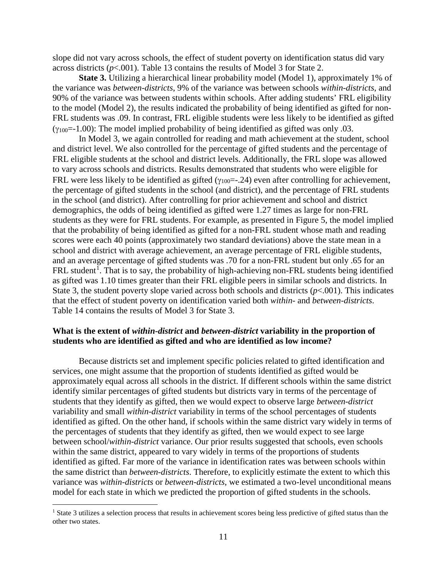slope did not vary across schools, the effect of student poverty on identification status did vary across districts  $(p<.001)$ . Table 13 contains the results of Model 3 for State 2.

**State 3.** Utilizing a hierarchical linear probability model (Model 1), approximately 1% of the variance was *between-districts*, 9% of the variance was between schools *within-districts*, and 90% of the variance was between students within schools. After adding students' FRL eligibility to the model (Model 2), the results indicated the probability of being identified as gifted for non-FRL students was .09. In contrast, FRL eligible students were less likely to be identified as gifted  $(\gamma_{100}=-1.00)$ : The model implied probability of being identified as gifted was only 0.03.

In Model 3, we again controlled for reading and math achievement at the student, school and district level. We also controlled for the percentage of gifted students and the percentage of FRL eligible students at the school and district levels. Additionally, the FRL slope was allowed to vary across schools and districts. Results demonstrated that students who were eligible for FRL were less likely to be identified as gifted ( $\gamma_{100}$ =-.24) even after controlling for achievement, the percentage of gifted students in the school (and district), and the percentage of FRL students in the school (and district). After controlling for prior achievement and school and district demographics, the odds of being identified as gifted were 1.27 times as large for non-FRL students as they were for FRL students. For example, as presented in Figure 5, the model implied that the probability of being identified as gifted for a non-FRL student whose math and reading scores were each 40 points (approximately two standard deviations) above the state mean in a school and district with average achievement, an average percentage of FRL eligible students, and an average percentage of gifted students was .70 for a non-FRL student but only .65 for an FRL student<sup>[1](#page-10-0)</sup>. That is to say, the probability of high-achieving non-FRL students being identified as gifted was 1.10 times greater than their FRL eligible peers in similar schools and districts. In State 3, the student poverty slope varied across both schools and districts  $(p<.001)$ . This indicates that the effect of student poverty on identification varied both *within-* and *between-districts*. Table 14 contains the results of Model 3 for State 3.

## **What is the extent of** *within-district* **and** *between-district* **variability in the proportion of students who are identified as gifted and who are identified as low income?**

Because districts set and implement specific policies related to gifted identification and services, one might assume that the proportion of students identified as gifted would be approximately equal across all schools in the district. If different schools within the same district identify similar percentages of gifted students but districts vary in terms of the percentage of students that they identify as gifted, then we would expect to observe large *between-district* variability and small *within-district* variability in terms of the school percentages of students identified as gifted. On the other hand, if schools within the same district vary widely in terms of the percentages of students that they identify as gifted, then we would expect to see large between school/*within-district* variance. Our prior results suggested that schools, even schools within the same district, appeared to vary widely in terms of the proportions of students identified as gifted. Far more of the variance in identification rates was between schools within the same district than *between-districts*. Therefore, to explicitly estimate the extent to which this variance was *within-districts* or *between-districts*, we estimated a two-level unconditional means model for each state in which we predicted the proportion of gifted students in the schools.

 $\overline{a}$ 

<span id="page-10-0"></span><sup>&</sup>lt;sup>1</sup> State 3 utilizes a selection process that results in achievement scores being less predictive of gifted status than the other two states.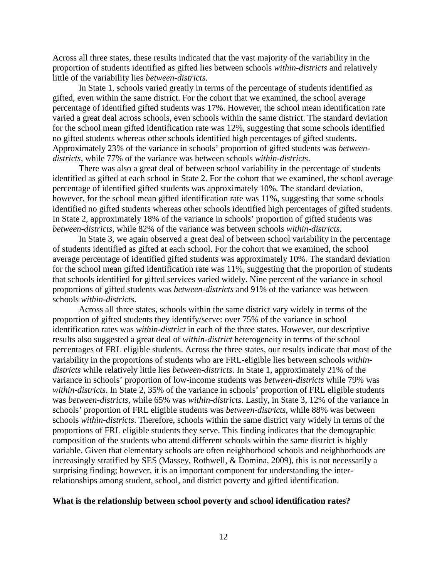Across all three states, these results indicated that the vast majority of the variability in the proportion of students identified as gifted lies between schools *within-districts* and relatively little of the variability lies *between-districts*.

In State 1, schools varied greatly in terms of the percentage of students identified as gifted, even within the same district. For the cohort that we examined, the school average percentage of identified gifted students was 17%. However, the school mean identification rate varied a great deal across schools, even schools within the same district. The standard deviation for the school mean gifted identification rate was 12%, suggesting that some schools identified no gifted students whereas other schools identified high percentages of gifted students. Approximately 23% of the variance in schools' proportion of gifted students was *betweendistricts*, while 77% of the variance was between schools *within-districts*.

There was also a great deal of between school variability in the percentage of students identified as gifted at each school in State 2. For the cohort that we examined, the school average percentage of identified gifted students was approximately 10%. The standard deviation, however, for the school mean gifted identification rate was 11%, suggesting that some schools identified no gifted students whereas other schools identified high percentages of gifted students. In State 2, approximately 18% of the variance in schools' proportion of gifted students was *between-districts*, while 82% of the variance was between schools *within-districts*.

In State 3, we again observed a great deal of between school variability in the percentage of students identified as gifted at each school. For the cohort that we examined, the school average percentage of identified gifted students was approximately 10%. The standard deviation for the school mean gifted identification rate was 11%, suggesting that the proportion of students that schools identified for gifted services varied widely. Nine percent of the variance in school proportions of gifted students was *between-districts* and 91% of the variance was between schools *within-districts*.

Across all three states, schools within the same district vary widely in terms of the proportion of gifted students they identify/serve: over 75% of the variance in school identification rates was *within-district* in each of the three states. However, our descriptive results also suggested a great deal of *within-district* heterogeneity in terms of the school percentages of FRL eligible students. Across the three states, our results indicate that most of the variability in the proportions of students who are FRL-eligible lies between schools *withindistricts* while relatively little lies *between-districts*. In State 1, approximately 21% of the variance in schools' proportion of low-income students was *between-districts* while 79% was *within-districts*. In State 2, 35% of the variance in schools' proportion of FRL eligible students was *between-districts*, while 65% was *within-districts*. Lastly, in State 3, 12% of the variance in schools' proportion of FRL eligible students was *between-districts*, while 88% was between schools *within-districts*. Therefore, schools within the same district vary widely in terms of the proportions of FRL eligible students they serve. This finding indicates that the demographic composition of the students who attend different schools within the same district is highly variable. Given that elementary schools are often neighborhood schools and neighborhoods are increasingly stratified by SES (Massey, Rothwell, & Domina, 2009), this is not necessarily a surprising finding; however, it is an important component for understanding the interrelationships among student, school, and district poverty and gifted identification.

#### **What is the relationship between school poverty and school identification rates?**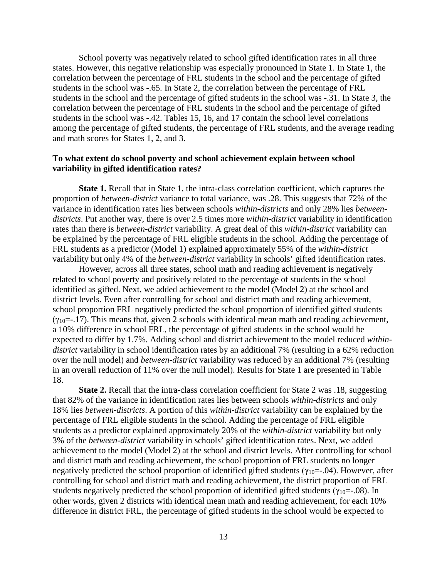School poverty was negatively related to school gifted identification rates in all three states. However, this negative relationship was especially pronounced in State 1. In State 1, the correlation between the percentage of FRL students in the school and the percentage of gifted students in the school was -.65. In State 2, the correlation between the percentage of FRL students in the school and the percentage of gifted students in the school was -.31. In State 3, the correlation between the percentage of FRL students in the school and the percentage of gifted students in the school was -.42. Tables 15, 16, and 17 contain the school level correlations among the percentage of gifted students, the percentage of FRL students, and the average reading and math scores for States 1, 2, and 3.

## **To what extent do school poverty and school achievement explain between school variability in gifted identification rates?**

**State 1.** Recall that in State 1, the intra-class correlation coefficient, which captures the proportion of *between-district* variance to total variance, was .28. This suggests that 72% of the variance in identification rates lies between schools *within-districts* and only 28% lies *betweendistricts*. Put another way, there is over 2.5 times more *within-district* variability in identification rates than there is *between-district* variability. A great deal of this *within-district* variability can be explained by the percentage of FRL eligible students in the school. Adding the percentage of FRL students as a predictor (Model 1) explained approximately 55% of the *within-district* variability but only 4% of the *between-district* variability in schools' gifted identification rates.

However, across all three states, school math and reading achievement is negatively related to school poverty and positively related to the percentage of students in the school identified as gifted. Next, we added achievement to the model (Model 2) at the school and district levels. Even after controlling for school and district math and reading achievement, school proportion FRL negatively predicted the school proportion of identified gifted students  $(\gamma_{10}=-17)$ . This means that, given 2 schools with identical mean math and reading achievement, a 10% difference in school FRL, the percentage of gifted students in the school would be expected to differ by 1.7%. Adding school and district achievement to the model reduced *withindistrict* variability in school identification rates by an additional 7% (resulting in a 62% reduction over the null model) and *between-district* variability was reduced by an additional 7% (resulting in an overall reduction of 11% over the null model). Results for State 1 are presented in Table 18.

**State 2.** Recall that the intra-class correlation coefficient for State 2 was .18, suggesting that 82% of the variance in identification rates lies between schools *within-districts* and only 18% lies *between-districts*. A portion of this *within-district* variability can be explained by the percentage of FRL eligible students in the school. Adding the percentage of FRL eligible students as a predictor explained approximately 20% of the *within-district* variability but only 3% of the *between-district* variability in schools' gifted identification rates. Next, we added achievement to the model (Model 2) at the school and district levels. After controlling for school and district math and reading achievement, the school proportion of FRL students no longer negatively predicted the school proportion of identified gifted students ( $\gamma_{10}$ =-.04). However, after controlling for school and district math and reading achievement, the district proportion of FRL students negatively predicted the school proportion of identified gifted students ( $\gamma_{10}$ =-.08). In other words, given 2 districts with identical mean math and reading achievement, for each 10% difference in district FRL, the percentage of gifted students in the school would be expected to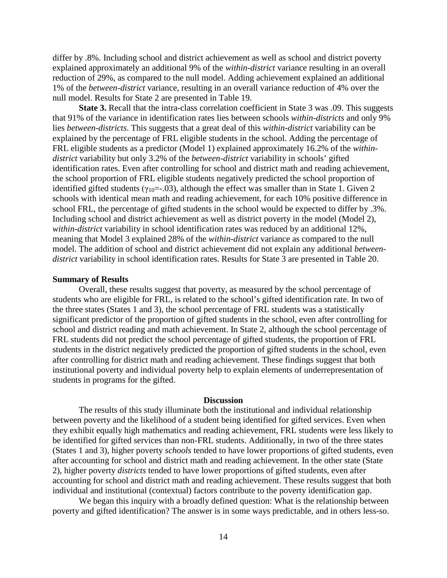differ by .8%. Including school and district achievement as well as school and district poverty explained approximately an additional 9% of the *within-district* variance resulting in an overall reduction of 29%, as compared to the null model. Adding achievement explained an additional 1% of the *between-district* variance, resulting in an overall variance reduction of 4% over the null model. Results for State 2 are presented in Table 19.

**State 3.** Recall that the intra-class correlation coefficient in State 3 was .09. This suggests that 91% of the variance in identification rates lies between schools *within-districts* and only 9% lies *between-districts*. This suggests that a great deal of this *within-district* variability can be explained by the percentage of FRL eligible students in the school. Adding the percentage of FRL eligible students as a predictor (Model 1) explained approximately 16.2% of the *withindistrict* variability but only 3.2% of the *between-district* variability in schools' gifted identification rates. Even after controlling for school and district math and reading achievement, the school proportion of FRL eligible students negatively predicted the school proportion of identified gifted students ( $\gamma_{10} = -0.03$ ), although the effect was smaller than in State 1. Given 2 schools with identical mean math and reading achievement, for each 10% positive difference in school FRL, the percentage of gifted students in the school would be expected to differ by .3%. Including school and district achievement as well as district poverty in the model (Model 2), *within-district* variability in school identification rates was reduced by an additional 12%, meaning that Model 3 explained 28% of the *within-district* variance as compared to the null model. The addition of school and district achievement did not explain any additional *betweendistrict* variability in school identification rates. Results for State 3 are presented in Table 20.

## **Summary of Results**

Overall, these results suggest that poverty, as measured by the school percentage of students who are eligible for FRL, is related to the school's gifted identification rate. In two of the three states (States 1 and 3), the school percentage of FRL students was a statistically significant predictor of the proportion of gifted students in the school, even after controlling for school and district reading and math achievement. In State 2, although the school percentage of FRL students did not predict the school percentage of gifted students, the proportion of FRL students in the district negatively predicted the proportion of gifted students in the school, even after controlling for district math and reading achievement. These findings suggest that both institutional poverty and individual poverty help to explain elements of underrepresentation of students in programs for the gifted.

### **Discussion**

The results of this study illuminate both the institutional and individual relationship between poverty and the likelihood of a student being identified for gifted services. Even when they exhibit equally high mathematics and reading achievement, FRL students were less likely to be identified for gifted services than non-FRL students. Additionally, in two of the three states (States 1 and 3), higher poverty *schools* tended to have lower proportions of gifted students, even after accounting for school and district math and reading achievement. In the other state (State 2), higher poverty *districts* tended to have lower proportions of gifted students, even after accounting for school and district math and reading achievement. These results suggest that both individual and institutional (contextual) factors contribute to the poverty identification gap.

We began this inquiry with a broadly defined question: What is the relationship between poverty and gifted identification? The answer is in some ways predictable, and in others less-so.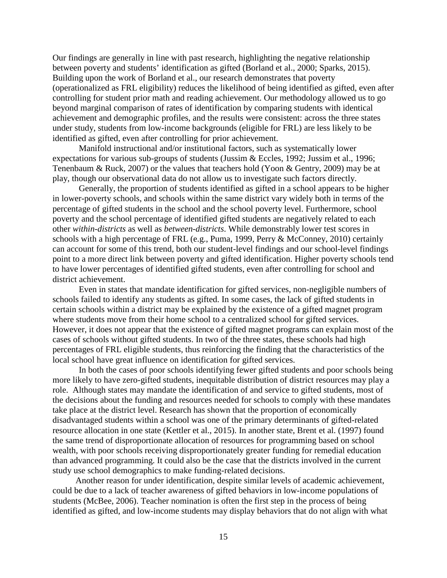Our findings are generally in line with past research, highlighting the negative relationship between poverty and students' identification as gifted (Borland et al., 2000; Sparks, 2015). Building upon the work of Borland et al., our research demonstrates that poverty (operationalized as FRL eligibility) reduces the likelihood of being identified as gifted, even after controlling for student prior math and reading achievement. Our methodology allowed us to go beyond marginal comparison of rates of identification by comparing students with identical achievement and demographic profiles, and the results were consistent: across the three states under study, students from low-income backgrounds (eligible for FRL) are less likely to be identified as gifted, even after controlling for prior achievement.

Manifold instructional and/or institutional factors, such as systematically lower expectations for various sub-groups of students (Jussim & Eccles, 1992; Jussim et al., 1996; Tenenbaum & Ruck, 2007) or the values that teachers hold (Yoon & Gentry, 2009) may be at play, though our observational data do not allow us to investigate such factors directly.

Generally, the proportion of students identified as gifted in a school appears to be higher in lower-poverty schools, and schools within the same district vary widely both in terms of the percentage of gifted students in the school and the school poverty level. Furthermore, school poverty and the school percentage of identified gifted students are negatively related to each other *within-districts* as well as *between-districts*. While demonstrably lower test scores in schools with a high percentage of FRL (e.g., Puma, 1999, Perry & McConney, 2010) certainly can account for some of this trend, both our student-level findings and our school-level findings point to a more direct link between poverty and gifted identification. Higher poverty schools tend to have lower percentages of identified gifted students, even after controlling for school and district achievement.

Even in states that mandate identification for gifted services, non-negligible numbers of schools failed to identify any students as gifted. In some cases, the lack of gifted students in certain schools within a district may be explained by the existence of a gifted magnet program where students move from their home school to a centralized school for gifted services. However, it does not appear that the existence of gifted magnet programs can explain most of the cases of schools without gifted students. In two of the three states, these schools had high percentages of FRL eligible students, thus reinforcing the finding that the characteristics of the local school have great influence on identification for gifted services.

In both the cases of poor schools identifying fewer gifted students and poor schools being more likely to have zero-gifted students, inequitable distribution of district resources may play a role. Although states may mandate the identification of and service to gifted students, most of the decisions about the funding and resources needed for schools to comply with these mandates take place at the district level. Research has shown that the proportion of economically disadvantaged students within a school was one of the primary determinants of gifted-related resource allocation in one state (Kettler et al., 2015). In another state, Brent et al. (1997) found the same trend of disproportionate allocation of resources for programming based on school wealth, with poor schools receiving disproportionately greater funding for remedial education than advanced programming. It could also be the case that the districts involved in the current study use school demographics to make funding-related decisions.

Another reason for under identification, despite similar levels of academic achievement, could be due to a lack of teacher awareness of gifted behaviors in low-income populations of students (McBee, 2006). Teacher nomination is often the first step in the process of being identified as gifted, and low-income students may display behaviors that do not align with what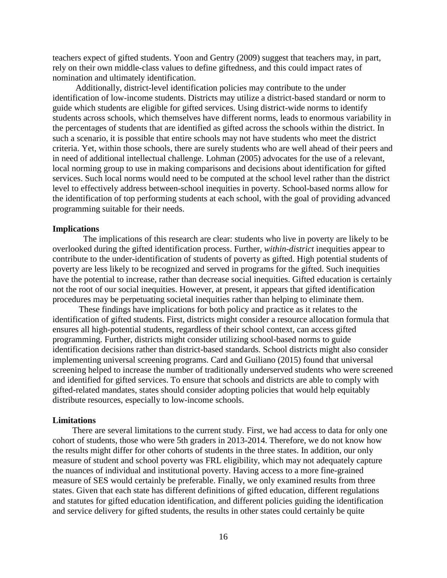teachers expect of gifted students. Yoon and Gentry (2009) suggest that teachers may, in part, rely on their own middle-class values to define giftedness, and this could impact rates of nomination and ultimately identification.

Additionally, district-level identification policies may contribute to the under identification of low-income students. Districts may utilize a district-based standard or norm to guide which students are eligible for gifted services. Using district-wide norms to identify students across schools, which themselves have different norms, leads to enormous variability in the percentages of students that are identified as gifted across the schools within the district. In such a scenario, it is possible that entire schools may not have students who meet the district criteria. Yet, within those schools, there are surely students who are well ahead of their peers and in need of additional intellectual challenge. Lohman (2005) advocates for the use of a relevant, local norming group to use in making comparisons and decisions about identification for gifted services. Such local norms would need to be computed at the school level rather than the district level to effectively address between-school inequities in poverty. School-based norms allow for the identification of top performing students at each school, with the goal of providing advanced programming suitable for their needs.

## **Implications**

 The implications of this research are clear: students who live in poverty are likely to be overlooked during the gifted identification process. Further, *within-district* inequities appear to contribute to the under-identification of students of poverty as gifted. High potential students of poverty are less likely to be recognized and served in programs for the gifted. Such inequities have the potential to increase, rather than decrease social inequities. Gifted education is certainly not the root of our social inequities. However, at present, it appears that gifted identification procedures may be perpetuating societal inequities rather than helping to eliminate them.

These findings have implications for both policy and practice as it relates to the identification of gifted students. First, districts might consider a resource allocation formula that ensures all high-potential students, regardless of their school context, can access gifted programming. Further, districts might consider utilizing school-based norms to guide identification decisions rather than district-based standards. School districts might also consider implementing universal screening programs. Card and Guiliano (2015) found that universal screening helped to increase the number of traditionally underserved students who were screened and identified for gifted services. To ensure that schools and districts are able to comply with gifted-related mandates, states should consider adopting policies that would help equitably distribute resources, especially to low-income schools.

#### **Limitations**

There are several limitations to the current study. First, we had access to data for only one cohort of students, those who were 5th graders in 2013-2014. Therefore, we do not know how the results might differ for other cohorts of students in the three states. In addition, our only measure of student and school poverty was FRL eligibility, which may not adequately capture the nuances of individual and institutional poverty. Having access to a more fine-grained measure of SES would certainly be preferable. Finally, we only examined results from three states. Given that each state has different definitions of gifted education, different regulations and statutes for gifted education identification, and different policies guiding the identification and service delivery for gifted students, the results in other states could certainly be quite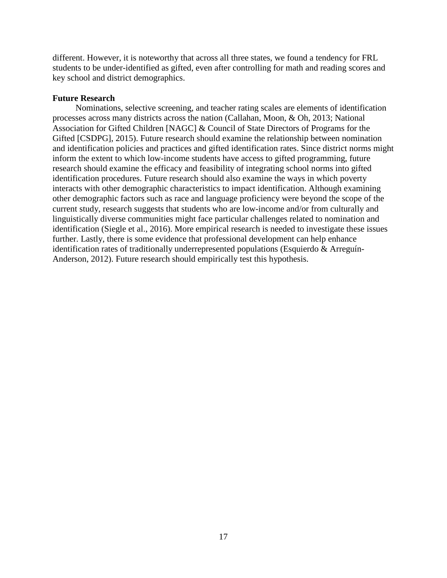different. However, it is noteworthy that across all three states, we found a tendency for FRL students to be under-identified as gifted, even after controlling for math and reading scores and key school and district demographics.

## **Future Research**

Nominations, selective screening, and teacher rating scales are elements of identification processes across many districts across the nation (Callahan, Moon, & Oh, 2013; National Association for Gifted Children [NAGC] & Council of State Directors of Programs for the Gifted [CSDPG], 2015). Future research should examine the relationship between nomination and identification policies and practices and gifted identification rates. Since district norms might inform the extent to which low-income students have access to gifted programming, future research should examine the efficacy and feasibility of integrating school norms into gifted identification procedures. Future research should also examine the ways in which poverty interacts with other demographic characteristics to impact identification. Although examining other demographic factors such as race and language proficiency were beyond the scope of the current study, research suggests that students who are low-income and/or from culturally and linguistically diverse communities might face particular challenges related to nomination and identification (Siegle et al., 2016). More empirical research is needed to investigate these issues further. Lastly, there is some evidence that professional development can help enhance identification rates of traditionally underrepresented populations (Esquierdo & Arreguín-Anderson, 2012). Future research should empirically test this hypothesis.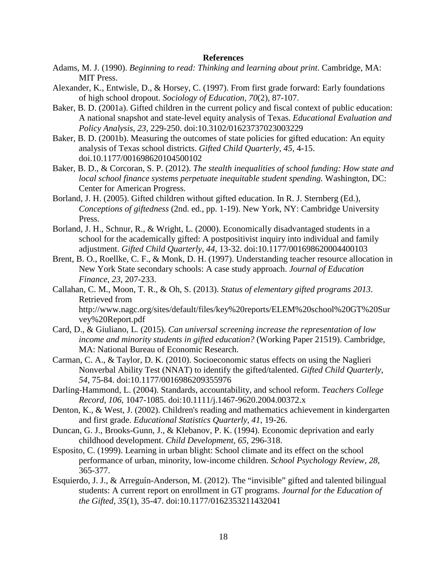## **References**

- Adams, M. J. (1990). *Beginning to read: Thinking and learning about print*. Cambridge, MA: MIT Press.
- Alexander, K., Entwisle, D., & Horsey, C. (1997). From first grade forward: Early foundations of high school dropout. *Sociology of Education, 70*(2), 87-107.
- Baker, B. D. (2001a). Gifted children in the current policy and fiscal context of public education: A national snapshot and state-level equity analysis of Texas. *Educational Evaluation and Policy Analysis*, *23*, 229-250. doi:10.3102/01623737023003229
- Baker, B. D. (2001b). Measuring the outcomes of state policies for gifted education: An equity analysis of Texas school districts. *Gifted Child Quarterly*, *45,* 4-15. doi.10.1177/001698620104500102
- Baker, B. D., & Corcoran, S. P. (2012). *The stealth inequalities of school funding: How state and local school finance systems perpetuate inequitable student spending.* Washington, DC: Center for American Progress.
- Borland, J. H. (2005). Gifted children without gifted education. In R. J. Sternberg (Ed.), *Conceptions of giftedness* (2nd. ed., pp. 1-19). New York, NY: Cambridge University Press.
- Borland, J. H., Schnur, R., & Wright, L. (2000). Economically disadvantaged students in a school for the academically gifted: A postpositivist inquiry into individual and family adjustment. *Gifted Child Quarterly*, *44,* 13-32. doi:10.1177/001698620004400103
- Brent, B. O., Roellke, C. F., & Monk, D. H. (1997). Understanding teacher resource allocation in New York State secondary schools: A case study approach. *Journal of Education Finance*, *23*, 207-233.
- Callahan, C. M., Moon, T. R., & Oh, S. (2013). *Status of elementary gifted programs 2013*. Retrieved from http://www.nagc.org/sites/default/files/key%20reports/ELEM%20school%20GT%20Sur vey%20Report.pdf
- Card, D., & Giuliano, L. (2015). *Can universal screening increase the representation of low income and minority students in gifted education?* (Working Paper 21519). Cambridge, MA: National Bureau of Economic Research.
- Carman, C. A., & Taylor, D. K. (2010). Socioeconomic status effects on using the Naglieri Nonverbal Ability Test (NNAT) to identify the gifted/talented. *Gifted Child Quarterly*, *54,* 75-84. doi:10.1177/0016986209355976
- Darling-Hammond, L. (2004). Standards, accountability, and school reform. *Teachers College Record*, *106*, 1047-1085. doi:10.1111/j.1467-9620.2004.00372.x
- Denton, K., & West, J. (2002). Children's reading and mathematics achievement in kindergarten and first grade. *Educational Statistics Quarterly*, *41*, 19-26.
- Duncan, G. J., Brooks-Gunn, J., & Klebanov, P. K. (1994). Economic deprivation and early childhood development. *Child Development, 65*, 296-318.
- Esposito, C. (1999). Learning in urban blight: School climate and its effect on the school performance of urban, minority, low-income children. *School Psychology Review*, *28*, 365-377.
- Esquierdo, J. J., & Arreguín-Anderson, M. (2012). The "invisible" gifted and talented bilingual students: A current report on enrollment in GT programs. *Journal for the Education of the Gifted*, *35*(1), 35-47. doi:10.1177/0162353211432041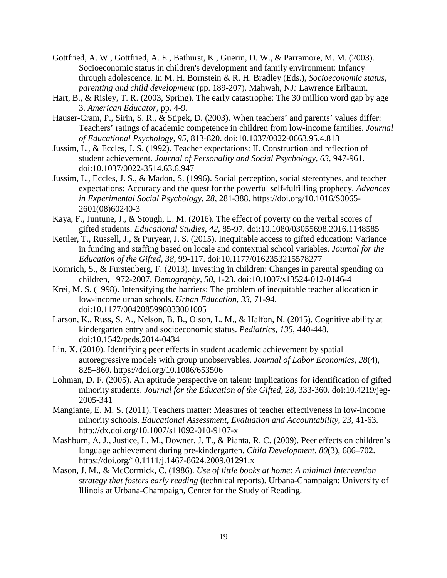- Gottfried, A. W.*,* Gottfried, A. E.*,* Bathurst, K.*,* Guerin, D. W., & Parramore, M. M. (2003). Socioeconomic status in children's development and family environment: Infancy through adolescence*.* In M. H. Bornstein & R. H. Bradley (Eds.), *Socioeconomic status, parenting and child development* (pp. 189-207). Mahwah, NJ*:* Lawrence Erlbaum.
- Hart, B., & Risley, T. R. (2003, Spring). The early catastrophe: The 30 million word gap by age 3. *American Educator,* pp. 4-9.
- Hauser-Cram, P., Sirin, S. R., & Stipek, D. (2003). When teachers' and parents' values differ: Teachers' ratings of academic competence in children from low-income families. *Journal of Educational Psychology, 95*, 813-820. doi:10.1037/0022-0663.95.4.813
- Jussim, L., & Eccles, J. S. (1992). Teacher expectations: II. Construction and reflection of student achievement. *Journal of Personality and Social Psychology, 63*, 947-961. doi:10.1037/0022-3514.63.6.947
- Jussim, L., Eccles, J. S., & Madon, S. (1996). Social perception, social stereotypes, and teacher expectations: Accuracy and the quest for the powerful self-fulfilling prophecy. *Advances in Experimental Social Psychology, 28*, 281-388. https://doi.org/10.1016/S0065- 2601(08)60240-3
- Kaya, F., Juntune, J., & Stough, L. M. (2016). The effect of poverty on the verbal scores of gifted students. *Educational Studies*, *42*, 85-97. doi:10.1080/03055698.2016.1148585
- Kettler, T., Russell, J., & Puryear, J. S. (2015). Inequitable access to gifted education: Variance in funding and staffing based on locale and contextual school variables. *Journal for the Education of the Gifted*, *38*, 99-117. doi:10.1177/0162353215578277
- Kornrich, S., & Furstenberg, F. (2013). Investing in children: Changes in parental spending on children, 1972-2007. *Demography, 50*, 1-23. doi:10.1007/s13524-012-0146-4
- Krei, M. S. (1998). Intensifying the barriers: The problem of inequitable teacher allocation in low-income urban schools. *Urban Education*, *33*, 71-94. doi:10.1177/0042085998033001005
- Larson, K., Russ, S. A., Nelson, B. B., Olson, L. M., & Halfon, N. (2015). Cognitive ability at kindergarten entry and socioeconomic status. *Pediatrics*, *135*, 440-448. doi:10.1542/peds.2014-0434
- Lin, X. (2010). Identifying peer effects in student academic achievement by spatial autoregressive models with group unobservables. *Journal of Labor Economics, 28*(4), 825–860. https://doi.org/10.1086/653506
- Lohman, D. F. (2005). An aptitude perspective on talent: Implications for identification of gifted minority students. *Journal for the Education of the Gifted, 28,* 333-360. doi:10.4219/jeg-2005-341
- Mangiante, E. M. S. (2011). Teachers matter: Measures of teacher effectiveness in low-income minority schools. *Educational Assessment, Evaluation and Accountability*, *23*, 41-63. http://dx.doi.org/10.1007/s11092-010-9107-x
- Mashburn, A. J., Justice, L. M., Downer, J. T., & Pianta, R. C. (2009). Peer effects on children's language achievement during pre-kindergarten. *Child Development, 80*(3), 686–702. https://doi.org/10.1111/j.1467-8624.2009.01291.x
- Mason, J. M., & McCormick, C. (1986). *Use of little books at home: A minimal intervention strategy that fosters early reading* (technical reports). Urbana-Champaign: University of Illinois at Urbana-Champaign, Center for the Study of Reading.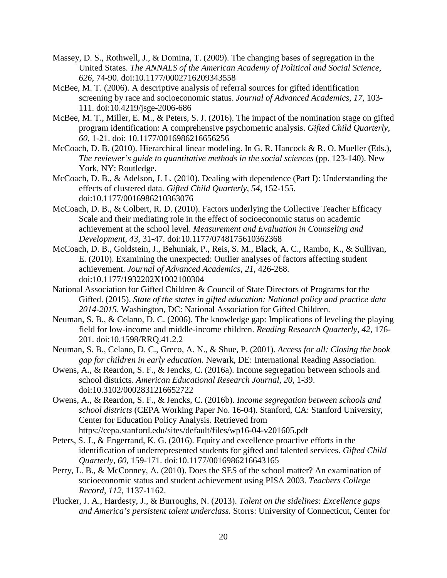- Massey, D. S., Rothwell, J., & Domina, T. (2009). The changing bases of segregation in the United States. *The ANNALS of the American Academy of Political and Social Science, 626*, 74-90. doi:10.1177/0002716209343558
- McBee, M. T. (2006). A descriptive analysis of referral sources for gifted identification screening by race and socioeconomic status. *Journal of Advanced Academics*, *17*, 103- 111. doi:10.4219/jsge-2006-686
- McBee, M. T., Miller, E. M., & Peters, S. J. (2016). The impact of the nomination stage on gifted program identification: A comprehensive psychometric analysis. *Gifted Child Quarterly, 60,* 1-21. doi: 10.1177/0016986216656256
- McCoach, D. B. (2010). Hierarchical linear modeling. In G. R. Hancock & R. O. Mueller (Eds.), *The reviewer's guide to quantitative methods in the social sciences* (pp. 123-140). New York, NY: Routledge.
- McCoach, D. B., & Adelson, J. L. (2010). Dealing with dependence (Part I): Understanding the effects of clustered data. *Gifted Child Quarterly*, *54,* 152-155. doi:10.1177/0016986210363076
- McCoach, D. B., & Colbert, R. D. (2010). Factors underlying the Collective Teacher Efficacy Scale and their mediating role in the effect of socioeconomic status on academic achievement at the school level. *Measurement and Evaluation in Counseling and Development, 43,* 31-47. doi:10.1177/0748175610362368
- McCoach, D. B., Goldstein, J., Behuniak, P., Reis, S. M., Black, A. C., Rambo, K., & Sullivan, E. (2010). Examining the unexpected: Outlier analyses of factors affecting student achievement. *Journal of Advanced Academics, 21,* 426-268. doi:10.1177/1932202X1002100304
- National Association for Gifted Children & Council of State Directors of Programs for the Gifted. (2015). *State of the states in gifted education: National policy and practice data 2014-2015*. Washington, DC: National Association for Gifted Children.
- Neuman, S. B., & Celano, D. C. (2006). The knowledge gap: Implications of leveling the playing field for low-income and middle-income children. *Reading Research Quarterly*, *42*, 176- 201. doi:10.1598/RRQ.41.2.2
- Neuman, S. B., Celano, D. C., Greco, A. N., & Shue, P. (2001). *Access for all: Closing the book gap for children in early education.* Newark, DE: International Reading Association.
- Owens, A., & Reardon, S. F., & Jencks, C. (2016a). Income segregation between schools and school districts. *American Educational Research Journal, 20,* 1-39. doi:10.3102/0002831216652722
- Owens, A., & Reardon, S. F., & Jencks, C. (2016b). *Income segregation between schools and school districts* (CEPA Working Paper No. 16-04). Stanford, CA: Stanford University, Center for Education Policy Analysis. Retrieved from https://cepa.stanford.edu/sites/default/files/wp16-04-v201605.pdf
- Peters, S. J., & Engerrand, K. G. (2016). Equity and excellence proactive efforts in the identification of underrepresented students for gifted and talented services. *Gifted Child Quarterly*, *60,* 159-171. doi:10.1177/0016986216643165
- Perry, L. B., & McConney, A. (2010). Does the SES of the school matter? An examination of socioeconomic status and student achievement using PISA 2003. *Teachers College Record*, *112*, 1137-1162.
- Plucker, J. A., Hardesty, J., & Burroughs, N. (2013). *Talent on the sidelines: Excellence gaps and America's persistent talent underclass.* Storrs: University of Connecticut, Center for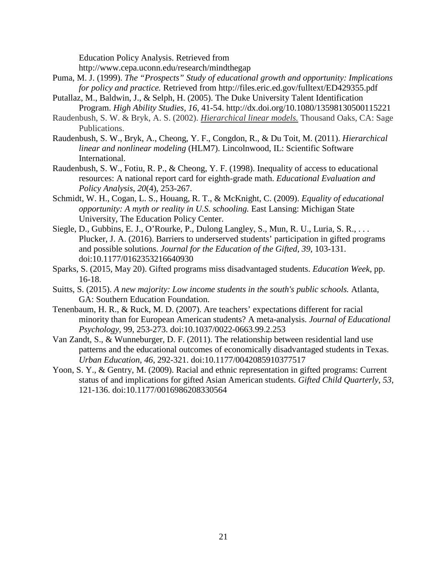Education Policy Analysis. Retrieved from

http://www.cepa.uconn.edu/research/mindthegap

- Puma, M. J. (1999). *The "Prospects" Study of educational growth and opportunity: Implications for policy and practice.* Retrieved from http://files.eric.ed.gov/fulltext/ED429355.pdf
- Putallaz, M., Baldwin, J., & Selph, H. (2005). The Duke University Talent Identification Program. *High Ability Studies, 16,* 41-54. http://dx.doi.org/10.1080/13598130500115221
- Raudenbush, S. W. & Bryk, A. S. (2002). *Hierarchical linear models.* Thousand Oaks, CA: Sage Publications.
- Raudenbush, S. W., Bryk, A., Cheong, Y. F., Congdon, R., & Du Toit, M. (2011). *Hierarchical linear and nonlinear modeling* (HLM7). Lincolnwood, IL: Scientific Software International.
- Raudenbush, S. W., Fotiu, R. P., & Cheong, Y. F. (1998). Inequality of access to educational resources: A national report card for eighth-grade math. *Educational Evaluation and Policy Analysis*, *20*(4), 253-267.
- Schmidt, W. H., Cogan, L. S., Houang, R. T., & McKnight, C. (2009). *Equality of educational opportunity: A myth or reality in U.S. schooling.* East Lansing: Michigan State University, The Education Policy Center.
- Siegle, D., Gubbins, E. J., O'Rourke, P., Dulong Langley, S., Mun, R. U., Luria, S. R., ... Plucker, J. A. (2016). Barriers to underserved students' participation in gifted programs and possible solutions. *Journal for the Education of the Gifted, 39,* 103-131. doi:10.1177/0162353216640930
- Sparks, S. (2015, May 20). Gifted programs miss disadvantaged students. *Education Week*, pp. 16-18.
- Suitts, S. (2015). *A new majority: Low income students in the south's public schools.* Atlanta, GA: Southern Education Foundation.
- Tenenbaum, H. R., & Ruck, M. D. (2007). Are teachers' expectations different for racial minority than for European American students? A meta-analysis. *Journal of Educational Psychology*, 99, 253-273. doi:10.1037/0022-0663.99.2.253
- Van Zandt, S., & Wunneburger, D. F. (2011). The relationship between residential land use patterns and the educational outcomes of economically disadvantaged students in Texas. *Urban Education, 46*, 292-321. doi:10.1177/0042085910377517
- Yoon, S. Y., & Gentry, M. (2009). Racial and ethnic representation in gifted programs: Current status of and implications for gifted Asian American students. *Gifted Child Quarterly*, *53,* 121-136. doi:10.1177/0016986208330564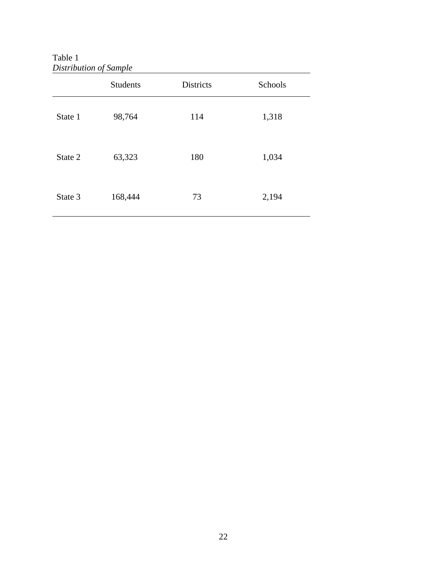Table 1 *Distribution of Sample*

|         | <b>Students</b> | <b>Districts</b> | Schools |
|---------|-----------------|------------------|---------|
| State 1 | 98,764          | 114              | 1,318   |
| State 2 | 63,323          | 180              | 1,034   |
| State 3 | 168,444         | 73               | 2,194   |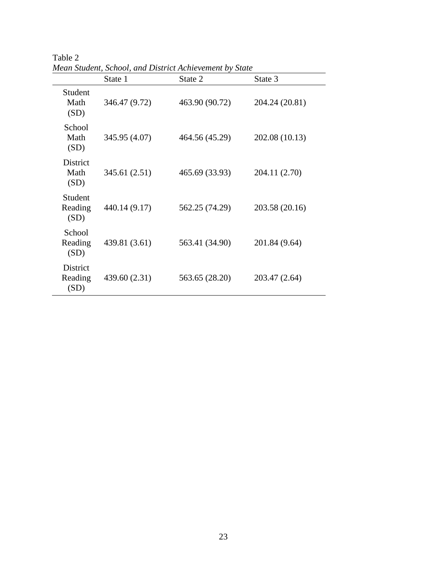|                                 | State 1       | State 2        | State 3        |
|---------------------------------|---------------|----------------|----------------|
| Student<br>Math<br>(SD)         | 346.47 (9.72) | 463.90 (90.72) | 204.24 (20.81) |
| School<br>Math<br>(SD)          | 345.95 (4.07) | 464.56 (45.29) | 202.08 (10.13) |
| <b>District</b><br>Math<br>(SD) | 345.61 (2.51) | 465.69 (33.93) | 204.11 (2.70)  |
| Student<br>Reading<br>(SD)      | 440.14 (9.17) | 562.25 (74.29) | 203.58 (20.16) |
| School<br>Reading<br>(SD)       | 439.81 (3.61) | 563.41 (34.90) | 201.84 (9.64)  |
| District<br>Reading<br>(SD)     | 439.60 (2.31) | 563.65 (28.20) | 203.47 (2.64)  |

Table 2 *Mean Student, School, and District Achievement by State*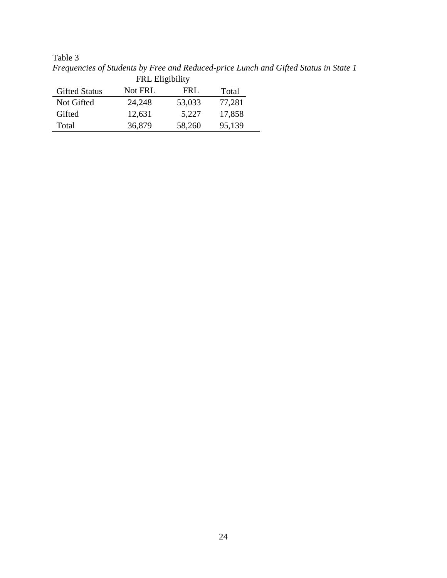|                        |         |        | I requencies of shadenis by I rec and Reamed price Emilin and |  |  |  |
|------------------------|---------|--------|---------------------------------------------------------------|--|--|--|
| <b>FRL</b> Eligibility |         |        |                                                               |  |  |  |
| <b>Gifted Status</b>   | Not FRL | FRI.   | Total                                                         |  |  |  |
| Not Gifted             | 24,248  | 53,033 | 77,281                                                        |  |  |  |
| Gifted                 | 12,631  | 5,227  | 17,858                                                        |  |  |  |
| Total                  | 36,879  | 58,260 | 95,139                                                        |  |  |  |

Table 3 *Frequencies of Students by Free and Reduced-price Lunch and Gifted Status in State 1*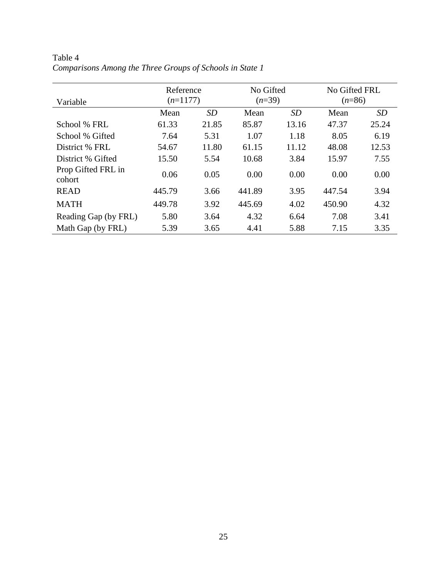| Variable                     | Reference<br>$(n=1177)$ |       | No Gifted<br>$(n=39)$ |       | No Gifted FRL<br>$(n=86)$ |       |
|------------------------------|-------------------------|-------|-----------------------|-------|---------------------------|-------|
|                              | Mean                    | SD    | Mean                  | SD    | Mean                      | SD    |
| School % FRL                 | 61.33                   | 21.85 | 85.87                 | 13.16 | 47.37                     | 25.24 |
| School % Gifted              | 7.64                    | 5.31  | 1.07                  | 1.18  | 8.05                      | 6.19  |
| District % FRL               | 54.67                   | 11.80 | 61.15                 | 11.12 | 48.08                     | 12.53 |
| District % Gifted            | 15.50                   | 5.54  | 10.68                 | 3.84  | 15.97                     | 7.55  |
| Prop Gifted FRL in<br>cohort | 0.06                    | 0.05  | 0.00                  | 0.00  | 0.00                      | 0.00  |
| <b>READ</b>                  | 445.79                  | 3.66  | 441.89                | 3.95  | 447.54                    | 3.94  |
| <b>MATH</b>                  | 449.78                  | 3.92  | 445.69                | 4.02  | 450.90                    | 4.32  |
| Reading Gap (by FRL)         | 5.80                    | 3.64  | 4.32                  | 6.64  | 7.08                      | 3.41  |
| Math Gap (by FRL)            | 5.39                    | 3.65  | 4.41                  | 5.88  | 7.15                      | 3.35  |

Table 4 *Comparisons Among the Three Groups of Schools in State 1*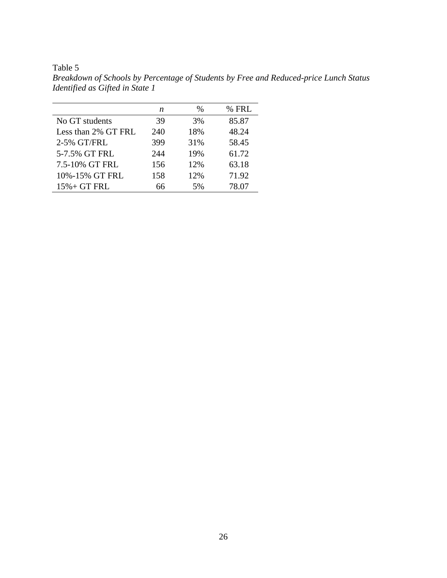Table 5

*Breakdown of Schools by Percentage of Students by Free and Reduced-price Lunch Status Identified as Gifted in State 1*

|                     | n   | $\%$ | % FRL |
|---------------------|-----|------|-------|
| No GT students      | 39  | 3%   | 85.87 |
| Less than 2% GT FRL | 240 | 18%  | 48.24 |
| 2-5% GT/FRL         | 399 | 31%  | 58.45 |
| 5-7.5% GT FRL       | 244 | 19%  | 61.72 |
| 7.5-10% GT FRL      | 156 | 12%  | 63.18 |
| 10%-15% GT FRL      | 158 | 12%  | 71.92 |
| $15% + GT FRL$      | 66  | 5%   | 78.07 |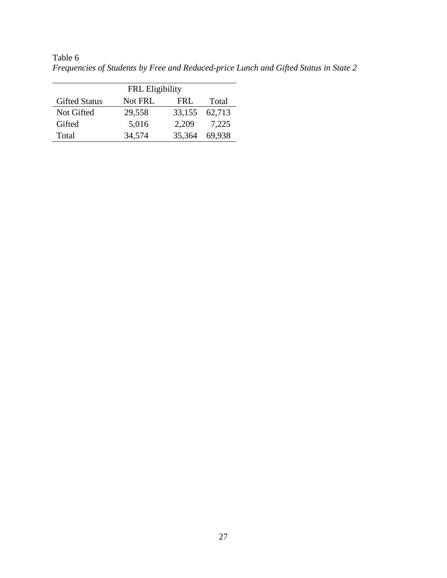|                      | <b>FRL</b> Eligibility |        |        |  |  |
|----------------------|------------------------|--------|--------|--|--|
| <b>Gifted Status</b> | Not FRL                | FRI.   | Total  |  |  |
| Not Gifted           | 29,558                 | 33,155 | 62,713 |  |  |
| Gifted               | 5,016                  | 2,209  | 7,225  |  |  |
| Total                | 34,574                 | 35,364 | 69,938 |  |  |

Table 6 *Frequencies of Students by Free and Reduced-price Lunch and Gifted Status in State 2*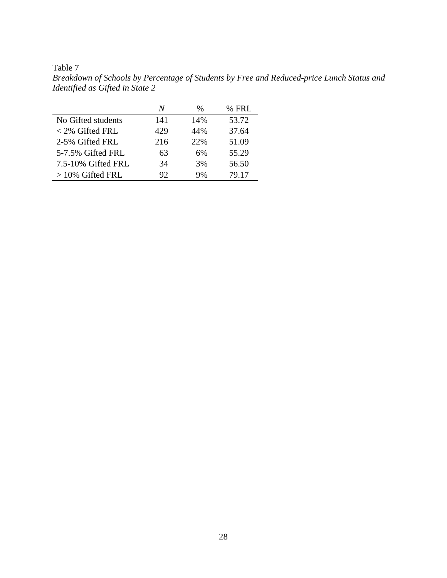Table 7

*Breakdown of Schools by Percentage of Students by Free and Reduced-price Lunch Status and Identified as Gifted in State 2*

|                    | N   | %   | $%$ FRL |
|--------------------|-----|-----|---------|
| No Gifted students | 141 | 14% | 53.72   |
| $<$ 2% Gifted FRL  | 429 | 44% | 37.64   |
| 2-5% Gifted FRL    | 216 | 22% | 51.09   |
| 5-7.5% Gifted FRL  | 63  | 6%  | 55.29   |
| 7.5-10% Gifted FRL | 34  | 3%  | 56.50   |
| $>10\%$ Gifted FRL | 92  | 9%  | 79.17   |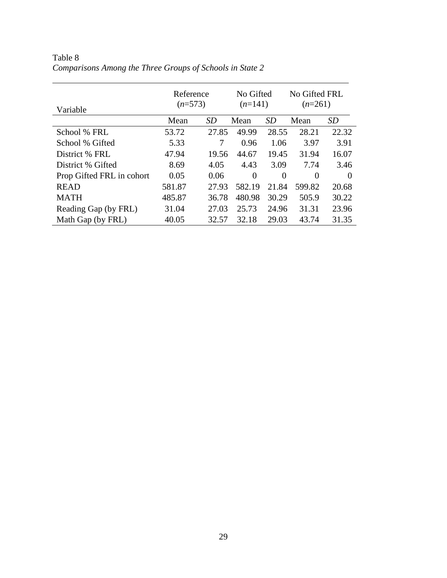| Variable                  | Reference<br>$(n=573)$ |           | No Gifted<br>$(n=141)$ |          | No Gifted FRL<br>$(n=261)$ |           |
|---------------------------|------------------------|-----------|------------------------|----------|----------------------------|-----------|
|                           | Mean                   | <i>SD</i> | Mean                   | SD       | Mean                       | <i>SD</i> |
| School % FRL              | 53.72                  | 27.85     | 49.99                  | 28.55    | 28.21                      | 22.32     |
| School % Gifted           | 5.33                   | 7         | 0.96                   | 1.06     | 3.97                       | 3.91      |
| District % FRL            | 47.94                  | 19.56     | 44.67                  | 19.45    | 31.94                      | 16.07     |
| District % Gifted         | 8.69                   | 4.05      | 4.43                   | 3.09     | 7.74                       | 3.46      |
| Prop Gifted FRL in cohort | 0.05                   | 0.06      | $\Omega$               | $\Omega$ | 0                          | $\Omega$  |
| <b>READ</b>               | 581.87                 | 27.93     | 582.19                 | 21.84    | 599.82                     | 20.68     |
| <b>MATH</b>               | 485.87                 | 36.78     | 480.98                 | 30.29    | 505.9                      | 30.22     |
| Reading Gap (by FRL)      | 31.04                  | 27.03     | 25.73                  | 24.96    | 31.31                      | 23.96     |
| Math Gap (by FRL)         | 40.05                  | 32.57     | 32.18                  | 29.03    | 43.74                      | 31.35     |

Table 8 *Comparisons Among the Three Groups of Schools in State 2*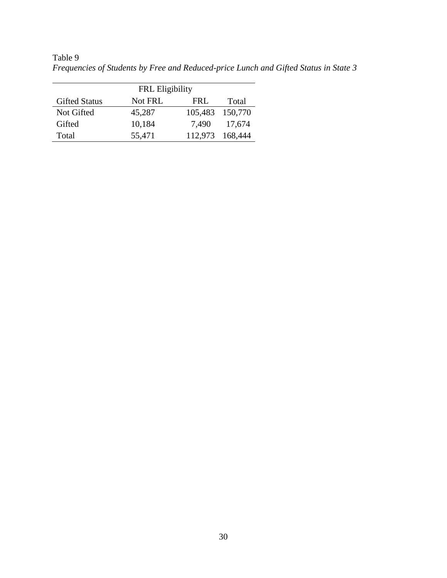|                      | <b>FRL</b> Eligibility |                 |         |
|----------------------|------------------------|-----------------|---------|
| <b>Gifted Status</b> | Not FRL                | FRI.            | Total   |
| Not Gifted           | 45,287                 | 105,483 150,770 |         |
| Gifted               | 10,184                 | 7,490           | 17,674  |
| Total                | 55,471                 | 112,973         | 168,444 |

Table 9 *Frequencies of Students by Free and Reduced-price Lunch and Gifted Status in State 3*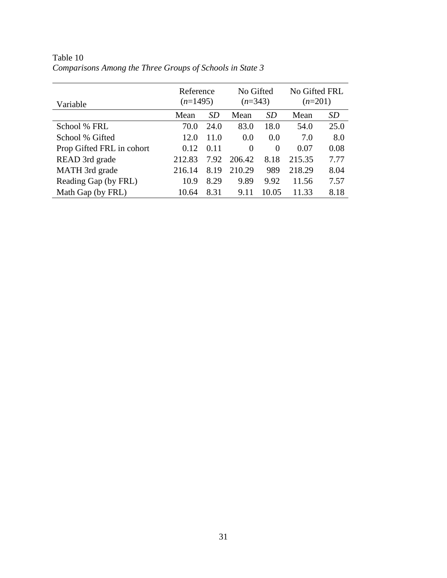| Variable                  | Reference<br>$(n=1495)$ |           | No Gifted<br>$(n=343)$ |           | No Gifted FRL<br>$(n=201)$ |           |
|---------------------------|-------------------------|-----------|------------------------|-----------|----------------------------|-----------|
|                           | Mean                    | <i>SD</i> | Mean                   | <b>SD</b> | Mean                       | <b>SD</b> |
| School % FRL              | 70.0                    | 24.0      | 83.0                   | 18.0      | 54.0                       | 25.0      |
| School % Gifted           | 12.0                    | 11.0      | 0.0                    | 0.0       | 7.0                        | 8.0       |
| Prop Gifted FRL in cohort | 0.12                    | 0.11      | $\Omega$               | $\Omega$  | 0.07                       | 0.08      |
| READ 3rd grade            | 212.83                  | 7.92      | 206.42                 | 8.18      | 215.35                     | 7.77      |
| MATH 3rd grade            | 216.14                  | 8.19      | 210.29                 | 989       | 218.29                     | 8.04      |
| Reading Gap (by FRL)      | 10.9                    | 8.29      | 9.89                   | 9.92      | 11.56                      | 7.57      |
| Math Gap (by FRL)         | 10.64                   | 8.31      | 9.11                   | 10.05     | 11.33                      | 8.18      |

Table 10 *Comparisons Among the Three Groups of Schools in State 3*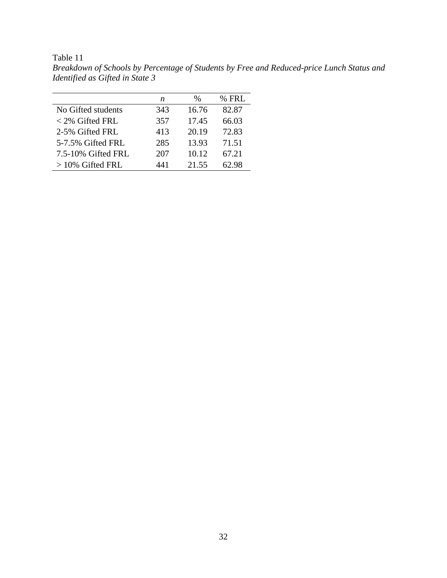|                    | n   | $\frac{0}{0}$ | $%$ FRL |
|--------------------|-----|---------------|---------|
| No Gifted students | 343 | 16.76         | 82.87   |
| $<$ 2% Gifted FRL  | 357 | 17.45         | 66.03   |
| 2-5% Gifted FRL    | 413 | 20.19         | 72.83   |
| 5-7.5% Gifted FRL  | 285 | 13.93         | 71.51   |
| 7.5-10% Gifted FRL | 207 | 10.12         | 67.21   |
| $>10\%$ Gifted FRL | 441 | 21.55         | 62.98   |

Table 11 *Breakdown of Schools by Percentage of Students by Free and Reduced-price Lunch Status and Identified as Gifted in State 3*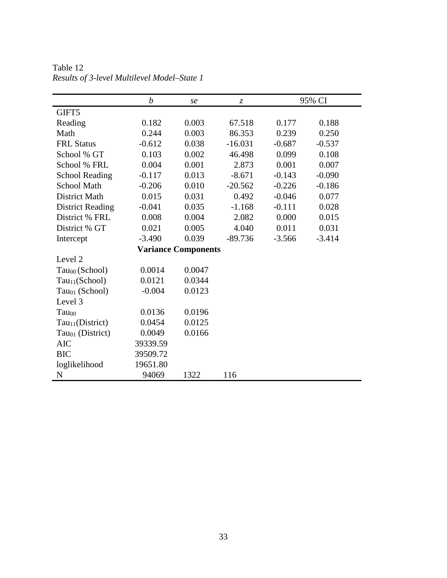|                              | $\boldsymbol{b}$ | se                         | $\zeta$   |          | 95% CI   |
|------------------------------|------------------|----------------------------|-----------|----------|----------|
| GIFT5                        |                  |                            |           |          |          |
| Reading                      | 0.182            | 0.003                      | 67.518    | 0.177    | 0.188    |
| Math                         | 0.244            | 0.003                      | 86.353    | 0.239    | 0.250    |
| <b>FRL Status</b>            | $-0.612$         | 0.038                      | $-16.031$ | $-0.687$ | $-0.537$ |
| School % GT                  | 0.103            | 0.002                      | 46.498    | 0.099    | 0.108    |
| School % FRL                 | 0.004            | 0.001                      | 2.873     | 0.001    | 0.007    |
| <b>School Reading</b>        | $-0.117$         | 0.013                      | $-8.671$  | $-0.143$ | $-0.090$ |
| <b>School Math</b>           | $-0.206$         | 0.010                      | $-20.562$ | $-0.226$ | $-0.186$ |
| <b>District Math</b>         | 0.015            | 0.031                      | 0.492     | $-0.046$ | 0.077    |
| <b>District Reading</b>      | $-0.041$         | 0.035                      | $-1.168$  | $-0.111$ | 0.028    |
| District % FRL               | 0.008            | 0.004                      | 2.082     | 0.000    | 0.015    |
| District % GT                | 0.021            | 0.005                      | 4.040     | 0.011    | 0.031    |
| Intercept                    | $-3.490$         | 0.039                      | $-89.736$ | $-3.566$ | $-3.414$ |
|                              |                  | <b>Variance Components</b> |           |          |          |
| Level 2                      |                  |                            |           |          |          |
| Tau <sub>00</sub> (School)   | 0.0014           | 0.0047                     |           |          |          |
| Tau <sub>11</sub> (School)   | 0.0121           | 0.0344                     |           |          |          |
| Tau <sub>01</sub> (School)   | $-0.004$         | 0.0123                     |           |          |          |
| Level 3                      |                  |                            |           |          |          |
| Tau <sub>00</sub>            | 0.0136           | 0.0196                     |           |          |          |
| Tau <sub>11</sub> (District) | 0.0454           | 0.0125                     |           |          |          |
| Tau <sub>01</sub> (District) | 0.0049           | 0.0166                     |           |          |          |
| <b>AIC</b>                   | 39339.59         |                            |           |          |          |
| <b>BIC</b>                   | 39509.72         |                            |           |          |          |
| loglikelihood                | 19651.80         |                            |           |          |          |
| N                            | 94069            | 1322                       | 116       |          |          |

Table 12 *Results of 3-level Multilevel Model–State 1*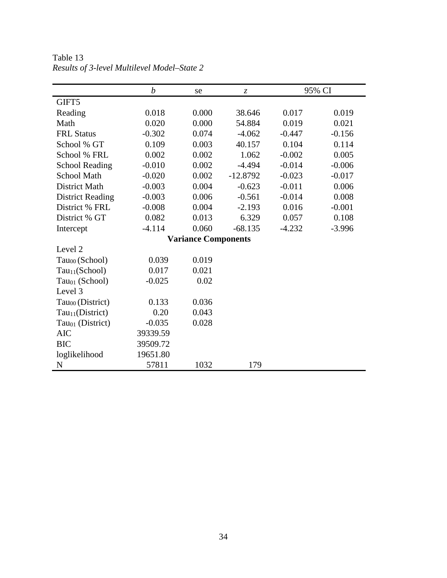|                              | $\boldsymbol{b}$ | se                         | Z.         |          | 95% CI   |
|------------------------------|------------------|----------------------------|------------|----------|----------|
| GIFT5                        |                  |                            |            |          |          |
| Reading                      | 0.018            | 0.000                      | 38.646     | 0.017    | 0.019    |
| Math                         | 0.020            | 0.000                      | 54.884     | 0.019    | 0.021    |
| <b>FRL Status</b>            | $-0.302$         | 0.074                      | $-4.062$   | $-0.447$ | $-0.156$ |
| School % GT                  | 0.109            | 0.003                      | 40.157     | 0.104    | 0.114    |
| School % FRL                 | 0.002            | 0.002                      | 1.062      | $-0.002$ | 0.005    |
| <b>School Reading</b>        | $-0.010$         | 0.002                      | $-4.494$   | $-0.014$ | $-0.006$ |
| <b>School Math</b>           | $-0.020$         | 0.002                      | $-12.8792$ | $-0.023$ | $-0.017$ |
| <b>District Math</b>         | $-0.003$         | 0.004                      | $-0.623$   | $-0.011$ | 0.006    |
| <b>District Reading</b>      | $-0.003$         | 0.006                      | $-0.561$   | $-0.014$ | 0.008    |
| District % FRL               | $-0.008$         | 0.004                      | $-2.193$   | 0.016    | $-0.001$ |
| District % GT                | 0.082            | 0.013                      | 6.329      | 0.057    | 0.108    |
| Intercept                    | $-4.114$         | 0.060                      | $-68.135$  | $-4.232$ | $-3.996$ |
|                              |                  | <b>Variance Components</b> |            |          |          |
| Level 2                      |                  |                            |            |          |          |
| Tau <sub>00</sub> (School)   | 0.039            | 0.019                      |            |          |          |
| Tau <sub>11</sub> (School)   | 0.017            | 0.021                      |            |          |          |
| $Tau01$ (School)             | $-0.025$         | 0.02                       |            |          |          |
| Level 3                      |                  |                            |            |          |          |
| Tau <sub>00</sub> (District) | 0.133            | 0.036                      |            |          |          |
| Tau <sub>11</sub> (District) | 0.20             | 0.043                      |            |          |          |
| Tau <sub>01</sub> (District) | $-0.035$         | 0.028                      |            |          |          |
| <b>AIC</b>                   | 39339.59         |                            |            |          |          |
| <b>BIC</b>                   | 39509.72         |                            |            |          |          |
| loglikelihood                | 19651.80         |                            |            |          |          |
| N                            | 57811            | 1032                       | 179        |          |          |

Table 13 *Results of 3-level Multilevel Model–State 2*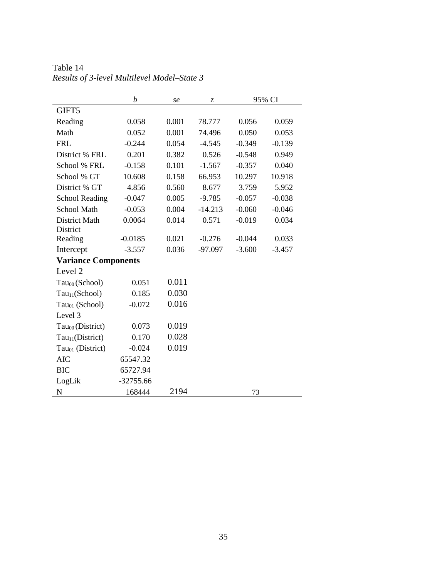|                              | b           | se    | $\ensuremath{\mathnormal{Z}}$ |          | 95% CI   |
|------------------------------|-------------|-------|-------------------------------|----------|----------|
| GIFT5                        |             |       |                               |          |          |
| Reading                      | 0.058       | 0.001 | 78.777                        | 0.056    | 0.059    |
| Math                         | 0.052       | 0.001 | 74.496                        | 0.050    | 0.053    |
| <b>FRL</b>                   | $-0.244$    | 0.054 | $-4.545$                      | $-0.349$ | $-0.139$ |
| District % FRL               | 0.201       | 0.382 | 0.526                         | $-0.548$ | 0.949    |
| School % FRL                 | $-0.158$    | 0.101 | $-1.567$                      | $-0.357$ | 0.040    |
| School % GT                  | 10.608      | 0.158 | 66.953                        | 10.297   | 10.918   |
| District % GT                | 4.856       | 0.560 | 8.677                         | 3.759    | 5.952    |
| <b>School Reading</b>        | $-0.047$    | 0.005 | $-9.785$                      | $-0.057$ | $-0.038$ |
| School Math                  | $-0.053$    | 0.004 | $-14.213$                     | $-0.060$ | $-0.046$ |
| <b>District Math</b>         | 0.0064      | 0.014 | 0.571                         | $-0.019$ | 0.034    |
| District                     |             |       |                               |          |          |
| Reading                      | $-0.0185$   | 0.021 | $-0.276$                      | $-0.044$ | 0.033    |
| Intercept                    | $-3.557$    | 0.036 | $-97.097$                     | $-3.600$ | $-3.457$ |
| <b>Variance Components</b>   |             |       |                               |          |          |
| Level 2                      |             |       |                               |          |          |
| $Tau00$ (School)             | 0.051       | 0.011 |                               |          |          |
| Tau <sub>11</sub> (School)   | 0.185       | 0.030 |                               |          |          |
| $Tau01$ (School)             | $-0.072$    | 0.016 |                               |          |          |
| Level 3                      |             |       |                               |          |          |
| $Tau00$ (District)           | 0.073       | 0.019 |                               |          |          |
| Tau <sub>11</sub> (District) | 0.170       | 0.028 |                               |          |          |
| Tau $_{01}$ (District)       | $-0.024$    | 0.019 |                               |          |          |
| <b>AIC</b>                   | 65547.32    |       |                               |          |          |
| <b>BIC</b>                   | 65727.94    |       |                               |          |          |
| LogLik                       | $-32755.66$ |       |                               |          |          |
| N                            | 168444      | 2194  |                               | 73       |          |

Table 14 *Results of 3-level Multilevel Model–State 3*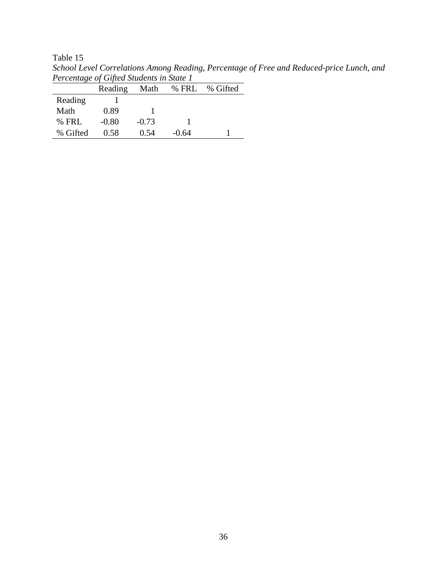Table 15

| Tercentage of Officia Students in State T |         |         |            |          |  |
|-------------------------------------------|---------|---------|------------|----------|--|
|                                           | Reading |         | Math % FRL | % Gifted |  |
| Reading                                   |         |         |            |          |  |
| Math                                      | 0.89    |         |            |          |  |
| $%$ FRI.                                  | $-0.80$ | $-0.73$ |            |          |  |
| % Gifted                                  | 0.58    | 0.54    | $-0.64$    |          |  |

*School Level Correlations Among Reading, Percentage of Free and Reduced-price Lunch, and Percentage of Gifted Students in State 1*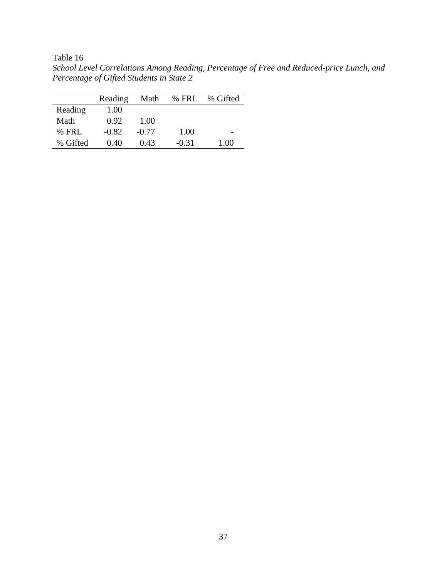Table 16

*School Level Correlations Among Reading, Percentage of Free and Reduced-price Lunch, and Percentage of Gifted Students in State 2*

|          | Reading | Math    | % FRL   | % Gifted |
|----------|---------|---------|---------|----------|
| Reading  | 1.00    |         |         |          |
| Math     | 0.92    | 1.00    |         |          |
| $%$ FRL  | $-0.82$ | $-0.77$ | 1.00    |          |
| % Gifted | 0.40    | 0.43    | $-0.31$ | 1.00     |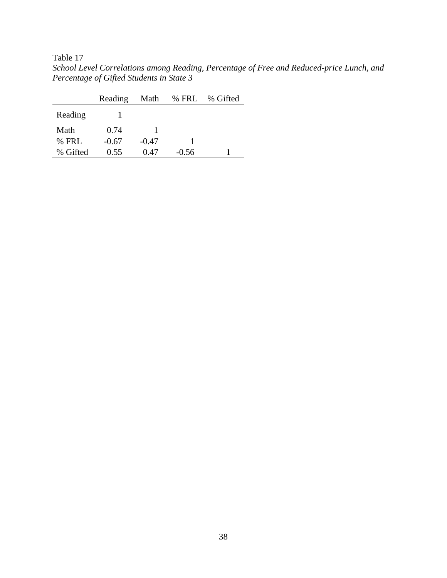Table 17

*School Level Correlations among Reading, Percentage of Free and Reduced-price Lunch, and Percentage of Gifted Students in State 3*

|          | Reading | Math    | % FRL   | % Gifted |
|----------|---------|---------|---------|----------|
| Reading  |         |         |         |          |
| Math     | 0.74    |         |         |          |
| $%$ FRL  | $-0.67$ | $-0.47$ |         |          |
| % Gifted | 0.55    | 0.47    | $-0.56$ |          |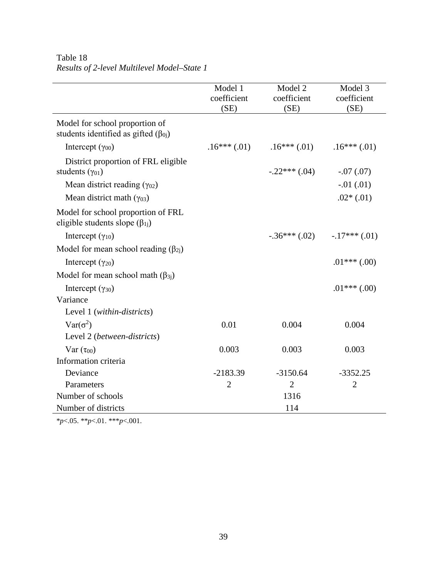|                                                                                | Model 1<br>coefficient<br>(SE) | Model 2<br>coefficient<br>(SE) | Model 3<br>coefficient<br>(SE) |
|--------------------------------------------------------------------------------|--------------------------------|--------------------------------|--------------------------------|
| Model for school proportion of<br>students identified as gifted $(\beta_{0i})$ |                                |                                |                                |
| Intercept $(\gamma_{00})$                                                      | $.16***$ $(.01)$               | $.16***(.01)$                  | $.16***(.01)$                  |
| District proportion of FRL eligible<br>students $(\gamma_{01})$                |                                | $-.22***$ (.04)                | $-.07(.07)$                    |
| Mean district reading $(\gamma_{02})$                                          |                                |                                | $-.01(.01)$                    |
| Mean district math $(\gamma_{03})$                                             |                                |                                | $.02*(.01)$                    |
| Model for school proportion of FRL<br>eligible students slope $(\beta_{1i})$   |                                |                                |                                |
| Intercept $(\gamma_{10})$                                                      |                                | $-.36***$ (.02)                | $-.17***$ (.01)                |
| Model for mean school reading $(\beta_{2i})$                                   |                                |                                |                                |
| Intercept $(\gamma_{20})$                                                      |                                |                                | $.01***$ $(.00)$               |
| Model for mean school math $(\beta_{3i})$                                      |                                |                                |                                |
| Intercept $(\gamma_{30})$                                                      |                                |                                | $.01***$ (.00)                 |
| Variance                                                                       |                                |                                |                                |
| Level 1 (within-districts)                                                     |                                |                                |                                |
| $Var(\sigma^2)$                                                                | 0.01                           | 0.004                          | 0.004                          |
| Level 2 (between-districts)                                                    |                                |                                |                                |
| $Var(\tau_{00})$                                                               | 0.003                          | 0.003                          | 0.003                          |
| Information criteria                                                           |                                |                                |                                |
| Deviance                                                                       | $-2183.39$                     | $-3150.64$                     | $-3352.25$                     |
| Parameters                                                                     | $\overline{2}$                 | $\overline{2}$                 | $\overline{2}$                 |
| Number of schools                                                              |                                | 1316                           |                                |
| Number of districts                                                            |                                | 114                            |                                |

# Table 18 *Results of 2-level Multilevel Model–State 1*

\**p*<.05. \*\**p*<.01. \*\*\**p*<.001.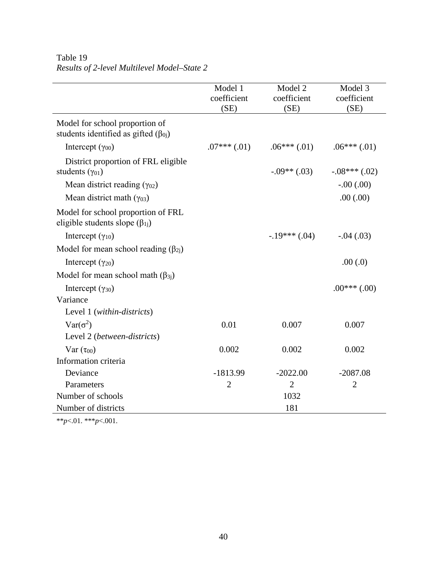|                                                                                | Model 1<br>coefficient<br>(SE) | Model 2<br>coefficient<br>(SE) | Model 3<br>coefficient<br>(SE) |
|--------------------------------------------------------------------------------|--------------------------------|--------------------------------|--------------------------------|
| Model for school proportion of<br>students identified as gifted $(\beta_{0i})$ |                                |                                |                                |
| Intercept $(\gamma_{00})$                                                      | $.07***(.01)$                  | $.06***(.01)$                  | $.06***(.01)$                  |
| District proportion of FRL eligible<br>students $(\gamma_{01})$                |                                | $-0.09**$ (.03)                | $-.08***$ (.02)                |
| Mean district reading $(\gamma_{02})$                                          |                                |                                | $-.00(.00)$                    |
| Mean district math $(\gamma_{03})$                                             |                                |                                | .00(.00)                       |
| Model for school proportion of FRL<br>eligible students slope $(\beta_{1j})$   |                                |                                |                                |
| Intercept $(\gamma_{10})$                                                      |                                | $-.19***(.04)$                 | $-.04(.03)$                    |
| Model for mean school reading $(\beta_{2i})$                                   |                                |                                |                                |
| Intercept $(\gamma_{20})$                                                      |                                |                                | .00(0)                         |
| Model for mean school math $(\beta_{3i})$                                      |                                |                                |                                |
| Intercept $(\gamma_{30})$                                                      |                                |                                | $.00***(.00)$                  |
| Variance                                                                       |                                |                                |                                |
| Level 1 (within-districts)                                                     |                                |                                |                                |
| $Var(\sigma^2)$                                                                | 0.01                           | 0.007                          | 0.007                          |
| Level 2 (between-districts)                                                    |                                |                                |                                |
| $Var(\tau_{00})$                                                               | 0.002                          | 0.002                          | 0.002                          |
| Information criteria                                                           |                                |                                |                                |
| Deviance                                                                       | $-1813.99$                     | $-2022.00$                     | $-2087.08$                     |
| Parameters                                                                     | $\overline{2}$                 | $\overline{2}$                 | $\overline{2}$                 |
| Number of schools                                                              |                                | 1032                           |                                |
| Number of districts                                                            |                                | 181                            |                                |

# Table 19 *Results of 2-level Multilevel Model–State 2*

\*\**p*<.01. \*\*\**p*<.001.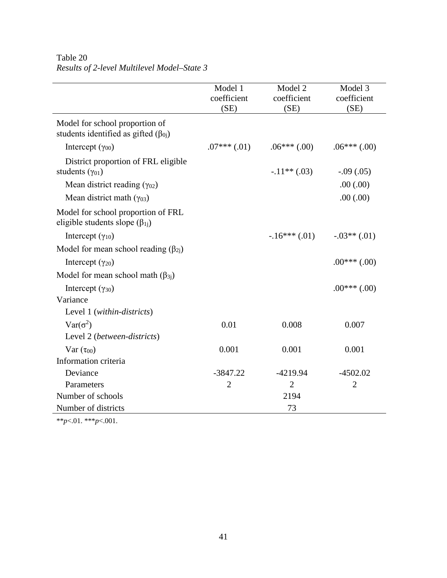|                                                                                | Model 1<br>coefficient<br>(SE) | Model 2<br>coefficient<br>(SE) | Model 3<br>coefficient<br>(SE) |
|--------------------------------------------------------------------------------|--------------------------------|--------------------------------|--------------------------------|
| Model for school proportion of<br>students identified as gifted $(\beta_{0i})$ |                                |                                |                                |
| Intercept $(\gamma_{00})$                                                      | $.07***$ $(.01)$               | $.06***(.00)$                  | $.06***(.00)$                  |
| District proportion of FRL eligible<br>students $(\gamma_{01})$                |                                | $-.11**(.03)$                  | $-.09(.05)$                    |
| Mean district reading $(\gamma_{02})$                                          |                                |                                | .00(.00)                       |
| Mean district math $(\gamma_{03})$                                             |                                |                                | .00(.00)                       |
| Model for school proportion of FRL<br>eligible students slope $(\beta_{1j})$   |                                |                                |                                |
| Intercept $(\gamma_{10})$                                                      |                                | $-.16***(.01)$                 | $-.03**(.01)$                  |
| Model for mean school reading $(\beta_{2i})$                                   |                                |                                |                                |
| Intercept $(\gamma_{20})$                                                      |                                |                                | $.00***(.00)$                  |
| Model for mean school math $(\beta_{3i})$                                      |                                |                                |                                |
| Intercept $(\gamma_{30})$                                                      |                                |                                | $.00***(00)$                   |
| Variance                                                                       |                                |                                |                                |
| Level 1 (within-districts)                                                     |                                |                                |                                |
| $Var(\sigma^2)$                                                                | 0.01                           | 0.008                          | 0.007                          |
| Level 2 (between-districts)                                                    |                                |                                |                                |
| $Var(\tau_{00})$                                                               | 0.001                          | 0.001                          | 0.001                          |
| Information criteria                                                           |                                |                                |                                |
| Deviance                                                                       | $-3847.22$                     | $-4219.94$                     | $-4502.02$                     |
| Parameters                                                                     | $\overline{2}$                 | $\overline{2}$                 | $\overline{2}$                 |
| Number of schools                                                              |                                | 2194                           |                                |
| Number of districts                                                            |                                | 73                             |                                |

# Table 20 *Results of 2-level Multilevel Model–State 3*

\*\**p*<.01. \*\*\**p*<.001.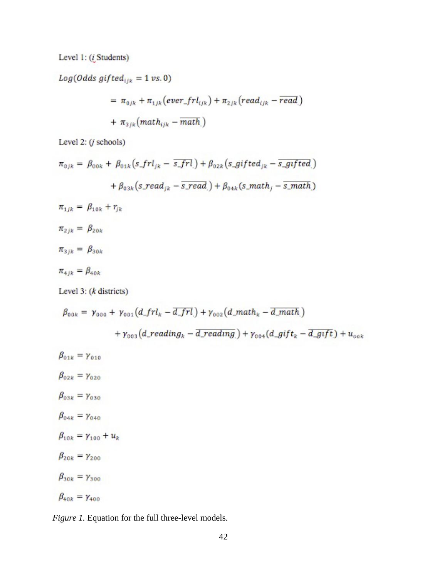Level 1: (*i* Students)

 $Log(Odds\ gifted_{ijk} = 1\ vs. 0)$ 

$$
= \pi_{0jk} + \pi_{1jk} (ever\_frl_{ijk}) + \pi_{2jk} (read_{ijk} - read)
$$

$$
+ \pi_{3jk} (math_{ijk} - match_{i})
$$

Level 2:  $(j$  schools)

$$
\pi_{0jk} = \beta_{00k} + \beta_{01k} (s\_frl_{jk} - \overline{s\_frl}) + \beta_{02k} (s\_gifted_{jk} - \overline{s\_gifted})
$$

$$
+ \beta_{03k} (s\_read_{jk} - \overline{s\_read}) + \beta_{04k} (s\_math_j - \overline{s\_math})
$$

 $\pi_{1jk} = \beta_{10k} + r_{jk}$ 

 $\pi_{2jk} = \beta_{20k}$ 

 $\pi_{3ik} = \beta_{30k}$ 

 $\pi_{4jk}=\beta_{40k}$ 

Level  $3: (k \text{ districts})$ 

$$
\beta_{00k} = \gamma_{000} + \gamma_{001} (d\_frl_k - \overline{d\_frl}) + \gamma_{002} (d\_mathh_k - \overline{d\_mathh})
$$
  
+  $\gamma_{003} (d\_reading_k - \overline{d\_reading}) + \gamma_{004} (d\_gift_k - \overline{d\_gift}) + u_{00k}$   

$$
\beta_{01k} = \gamma_{010}
$$
  

$$
\beta_{02k} = \gamma_{020}
$$
  

$$
\beta_{03k} = \gamma_{030}
$$
  

$$
\beta_{04k} = \gamma_{040}
$$
  

$$
\beta_{10k} = \gamma_{100} + u_k
$$
  

$$
\beta_{20k} = \gamma_{200}
$$

 $\beta_{30k} = \gamma_{300}$ 

$$
\beta_{40k} = \gamma_{400}
$$

*Figure 1.* Equation for the full three-level models.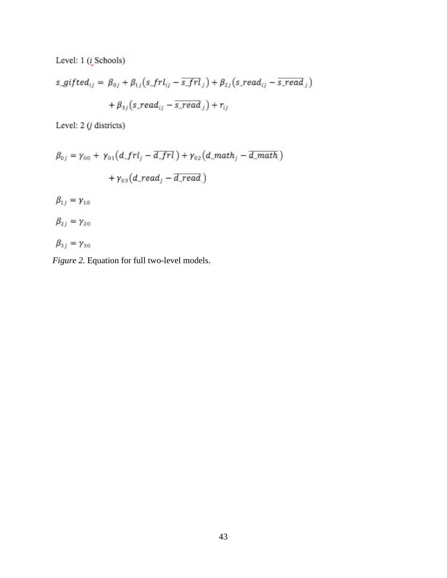Level: 1 (*i* Schools)

$$
s\_gifted_{ij} = \beta_{0j} + \beta_{1j}(s\_frl_{ij} - \overline{s\_frl}_{j}) + \beta_{2j}(s\_read_{ij} - \overline{s\_read}_{j}) + \beta_{3j}(s\_read_{ij} - \overline{s\_read}_{j}) + r_{ij}
$$

Level:  $2(j \text{ districts})$ 

$$
\beta_{0j} = \gamma_{00} + \gamma_{01}(d\_frl_j - \overline{d\_frl_j}) + \gamma_{02}(d\_math_p - \overline{d\_math_p}) + \gamma_{03}(d\_read_j - \overline{d\_read_j})
$$

$$
\beta_{1j} = \gamma_{10}
$$
  

$$
\beta_{2j} = \gamma_{20}
$$

$$
\beta_{3j}=\gamma_{30}
$$

*Figure 2.* Equation for full two-level models.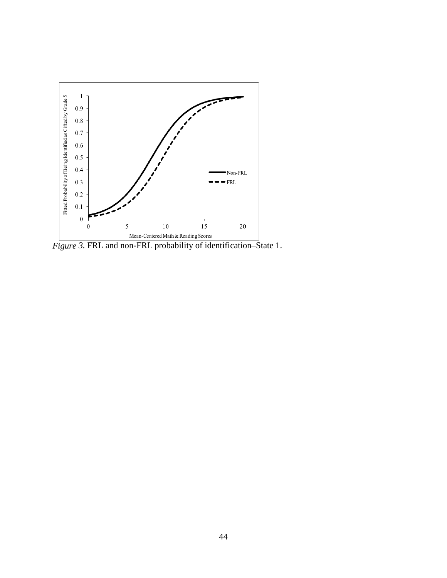

*Figure 3.* FRL and non-FRL probability of identification–State 1.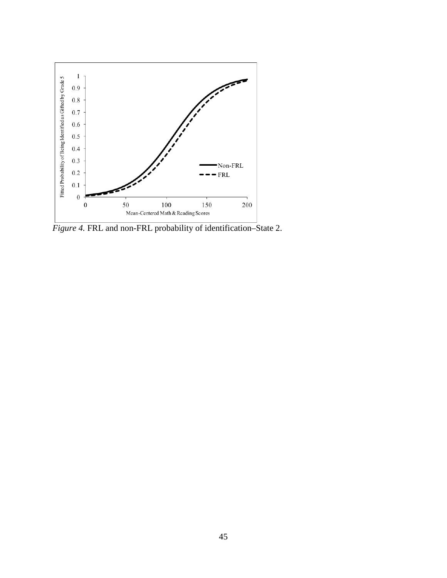

*Figure 4.* FRL and non-FRL probability of identification–State 2.